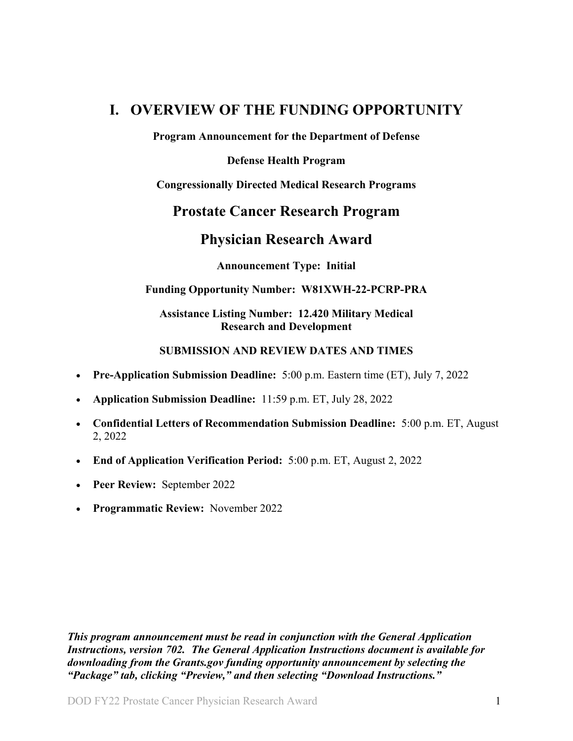## <span id="page-0-0"></span>**I. OVERVIEW OF THE FUNDING OPPORTUNITY**

**Program Announcement for the Department of Defense**

#### **Defense Health Program**

**Congressionally Directed Medical Research Programs**

## **Prostate Cancer Research Program**

## **Physician Research Award**

**Announcement Type: Initial** 

#### **Funding Opportunity Number: W81XWH-22-PCRP-PRA**

#### **Assistance Listing Number: 12.420 Military Medical Research and Development**

#### <span id="page-0-1"></span>**SUBMISSION AND REVIEW DATES AND TIMES**

- <span id="page-0-2"></span>• **Pre-Application Submission Deadline:** 5:00 p.m. Eastern time (ET), July 7, 2022
- **Application Submission Deadline:** 11:59 p.m. ET, July 28, 2022
- **Confidential Letters of Recommendation Submission Deadline:** 5:00 p.m. ET, August 2, 2022
- **End of Application Verification Period:** 5:00 p.m. ET, August 2, 2022
- **Peer Review:** September 2022
- **Programmatic Review:** November 2022

*This program announcement must be read in conjunction with the General Application Instructions, version 702.**The General Application Instructions document is available for downloading from the Grants.gov funding opportunity announcement by selecting the "Package" tab, clicking "Preview," and then selecting "Download Instructions."*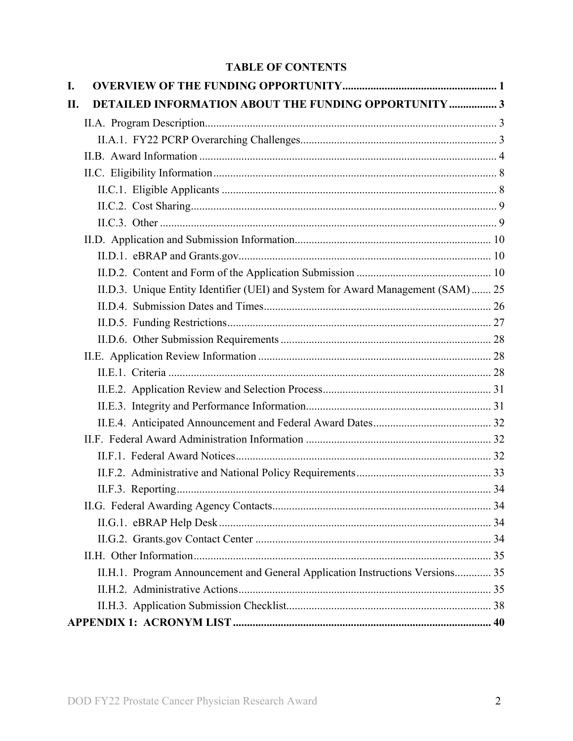## **TABLE OF CONTENTS**

| I.  |                                                                                  |  |
|-----|----------------------------------------------------------------------------------|--|
| II. | <b>DETAILED INFORMATION ABOUT THE FUNDING OPPORTUNITY  3</b>                     |  |
|     |                                                                                  |  |
|     |                                                                                  |  |
|     |                                                                                  |  |
|     |                                                                                  |  |
|     |                                                                                  |  |
|     |                                                                                  |  |
|     |                                                                                  |  |
|     |                                                                                  |  |
|     |                                                                                  |  |
|     |                                                                                  |  |
|     | II.D.3. Unique Entity Identifier (UEI) and System for Award Management (SAM)  25 |  |
|     |                                                                                  |  |
|     |                                                                                  |  |
|     |                                                                                  |  |
|     |                                                                                  |  |
|     |                                                                                  |  |
|     |                                                                                  |  |
|     |                                                                                  |  |
|     |                                                                                  |  |
|     |                                                                                  |  |
|     |                                                                                  |  |
|     |                                                                                  |  |
|     |                                                                                  |  |
|     |                                                                                  |  |
|     |                                                                                  |  |
|     |                                                                                  |  |
|     |                                                                                  |  |
|     | II.H.1. Program Announcement and General Application Instructions Versions 35    |  |
|     |                                                                                  |  |
|     |                                                                                  |  |
|     |                                                                                  |  |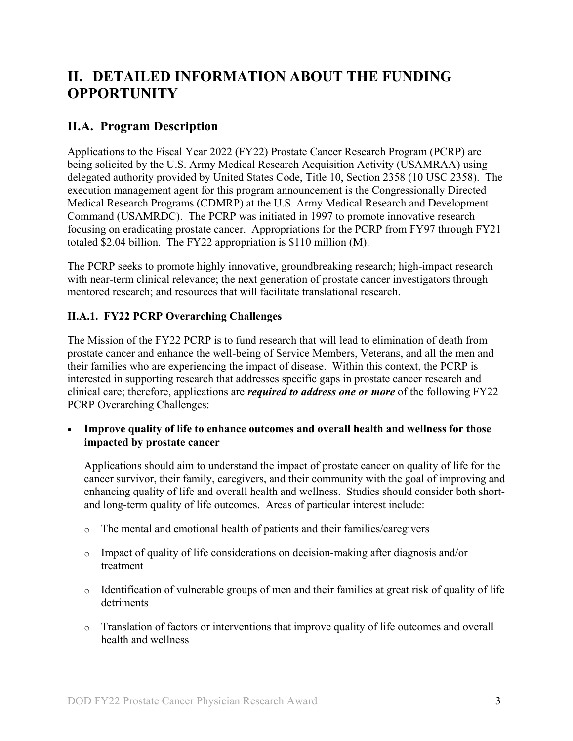# <span id="page-2-0"></span>**II. DETAILED INFORMATION ABOUT THE FUNDING OPPORTUNITY**

## <span id="page-2-1"></span>**II.A. Program Description**

Applications to the Fiscal Year 2022 (FY22) Prostate Cancer Research Program (PCRP) are being solicited by the U.S. Army Medical Research Acquisition Activity (USAMRAA) using delegated authority provided by United States Code, Title 10, Section 2358 (10 USC 2358). The execution management agent for this program announcement is the Congressionally Directed Medical Research Programs (CDMRP) at the U.S. Army Medical Research and Development Command (USAMRDC). The PCRP was initiated in 1997 to promote innovative research focusing on eradicating prostate cancer. Appropriations for the PCRP from FY97 through FY21 totaled \$2.04 billion. The FY22 appropriation is \$110 million (M).

The PCRP seeks to promote highly innovative, groundbreaking research; high-impact research with near-term clinical relevance; the next generation of prostate cancer investigators through mentored research; and resources that will facilitate translational research.

## <span id="page-2-3"></span><span id="page-2-2"></span>**II.A.1. FY22 PCRP Overarching Challenges**

The Mission of the FY22 PCRP is to fund research that will lead to elimination of death from prostate cancer and enhance the well-being of Service Members, Veterans, and all the men and their families who are experiencing the impact of disease. Within this context, the PCRP is interested in supporting research that addresses specific gaps in prostate cancer research and clinical care; therefore, applications are *required to address one or more* of the following FY22 PCRP Overarching Challenges:

• **Improve quality of life to enhance outcomes and overall health and wellness for those impacted by prostate cancer**

Applications should aim to understand the impact of prostate cancer on quality of life for the cancer survivor, their family, caregivers, and their community with the goal of improving and enhancing quality of life and overall health and wellness. Studies should consider both shortand long-term quality of life outcomes. Areas of particular interest include:

- o The mental and emotional health of patients and their families/caregivers
- o Impact of quality of life considerations on decision-making after diagnosis and/or treatment
- o Identification of vulnerable groups of men and their families at great risk of quality of life detriments
- o Translation of factors or interventions that improve quality of life outcomes and overall health and wellness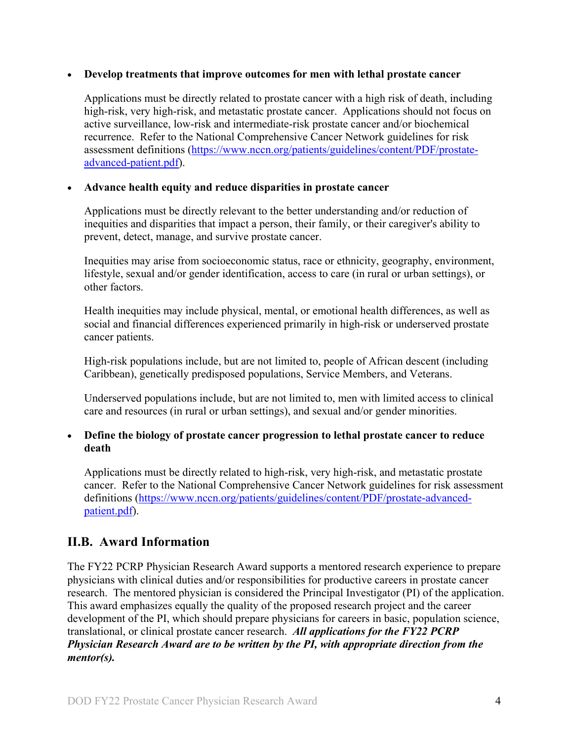#### • **Develop treatments that improve outcomes for men with lethal prostate cancer**

Applications must be directly related to prostate cancer with a high risk of death, including high-risk, very high-risk, and metastatic prostate cancer. Applications should not focus on active surveillance, low-risk and intermediate-risk prostate cancer and/or biochemical recurrence. Refer to the National Comprehensive Cancer Network guidelines for risk assessment definitions [\(https://www.nccn.org/patients/guidelines/content/PDF/prostate](file://amedmrmcdf001/USAMRMC/CDMRP/Public/Leidos/Leidos%20Business%20(R)/8%20Program%20Teams/PCRP/16-Program%20Announcements/FY21/Template/(https:/www.ncc%20n.org/patients/guidelines/content/PDF/prostate-advanced-patient.pdf)[advanced-patient.pdf\)](file://amedmrmcdf001/USAMRMC/CDMRP/Public/Leidos/Leidos%20Business%20(R)/8%20Program%20Teams/PCRP/16-Program%20Announcements/FY21/Template/(https:/www.ncc%20n.org/patients/guidelines/content/PDF/prostate-advanced-patient.pdf).

#### • **Advance health equity and reduce disparities in prostate cancer**

Applications must be directly relevant to the better understanding and/or reduction of inequities and disparities that impact a person, their family, or their caregiver's ability to prevent, detect, manage, and survive prostate cancer.

Inequities may arise from socioeconomic status, race or ethnicity, geography, environment, lifestyle, sexual and/or gender identification, access to care (in rural or urban settings), or other factors.

Health inequities may include physical, mental, or emotional health differences, as well as social and financial differences experienced primarily in high-risk or underserved prostate cancer patients.

High-risk populations include, but are not limited to, people of African descent (including Caribbean), genetically predisposed populations, Service Members, and Veterans.

Underserved populations include, but are not limited to, men with limited access to clinical care and resources (in rural or urban settings), and sexual and/or gender minorities.

#### • **Define the biology of prostate cancer progression to lethal prostate cancer to reduce death**

Applications must be directly related to high-risk, very high-risk, and metastatic prostate cancer. Refer to the National Comprehensive Cancer Network guidelines for risk assessment definitions [\(https://www.nccn.org/patients/guidelines/content/PDF/prostate-advanced](https://www.nccn.org/patients/guidelines/content/PDF/prostate-advanced-patient.pdf)[patient.pdf\)](https://www.nccn.org/patients/guidelines/content/PDF/prostate-advanced-patient.pdf).

## <span id="page-3-0"></span>**II.B. Award Information**

The FY22 PCRP Physician Research Award supports a mentored research experience to prepare physicians with clinical duties and/or responsibilities for productive careers in prostate cancer research. The mentored physician is considered the Principal Investigator (PI) of the application. This award emphasizes equally the quality of the proposed research project and the career development of the PI, which should prepare physicians for careers in basic, population science, translational, or clinical prostate cancer research. *All applications for the FY22 PCRP Physician Research Award are to be written by the PI, with appropriate direction from the mentor(s).*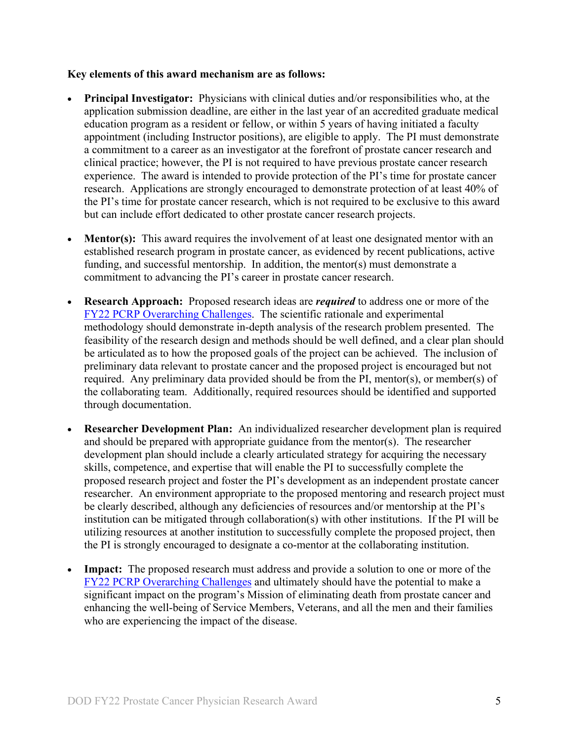#### **Key elements of this award mechanism are as follows:**

- **Principal Investigator:** Physicians with clinical duties and/or responsibilities who, at the application submission deadline, are either in the last year of an accredited graduate medical education program as a resident or fellow, or within 5 years of having initiated a faculty appointment (including Instructor positions), are eligible to apply. The PI must demonstrate a commitment to a career as an investigator at the forefront of prostate cancer research and clinical practice; however, the PI is not required to have previous prostate cancer research experience. The award is intended to provide protection of the PI's time for prostate cancer research. Applications are strongly encouraged to demonstrate protection of at least 40% of the PI's time for prostate cancer research, which is not required to be exclusive to this award but can include effort dedicated to other prostate cancer research projects.
- **Mentor(s):** This award requires the involvement of at least one designated mentor with an established research program in prostate cancer, as evidenced by recent publications, active funding, and successful mentorship. In addition, the mentor(s) must demonstrate a commitment to advancing the PI's career in prostate cancer research.
- **Research Approach:** Proposed research ideas are *required* to address one or more of the [FY22 PCRP Overarching Challenges.](#page-2-3) The scientific rationale and experimental methodology should demonstrate in-depth analysis of the research problem presented. The feasibility of the research design and methods should be well defined, and a clear plan should be articulated as to how the proposed goals of the project can be achieved. The inclusion of preliminary data relevant to prostate cancer and the proposed project is encouraged but not required. Any preliminary data provided should be from the PI, mentor(s), or member(s) of the collaborating team. Additionally, required resources should be identified and supported through documentation.
- **Researcher Development Plan:** An individualized researcher development plan is required and should be prepared with appropriate guidance from the mentor(s). The researcher development plan should include a clearly articulated strategy for acquiring the necessary skills, competence, and expertise that will enable the PI to successfully complete the proposed research project and foster the PI's development as an independent prostate cancer researcher. An environment appropriate to the proposed mentoring and research project must be clearly described, although any deficiencies of resources and/or mentorship at the PI's institution can be mitigated through collaboration(s) with other institutions. If the PI will be utilizing resources at another institution to successfully complete the proposed project, then the PI is strongly encouraged to designate a co-mentor at the collaborating institution.
- **Impact:** The proposed research must address and provide a solution to one or more of the FY22 [PCRP Overarching Challenges](#page-2-3) and ultimately should have the potential to make a significant impact on the program's Mission of eliminating death from prostate cancer and enhancing the well-being of Service Members, Veterans, and all the men and their families who are experiencing the impact of the disease.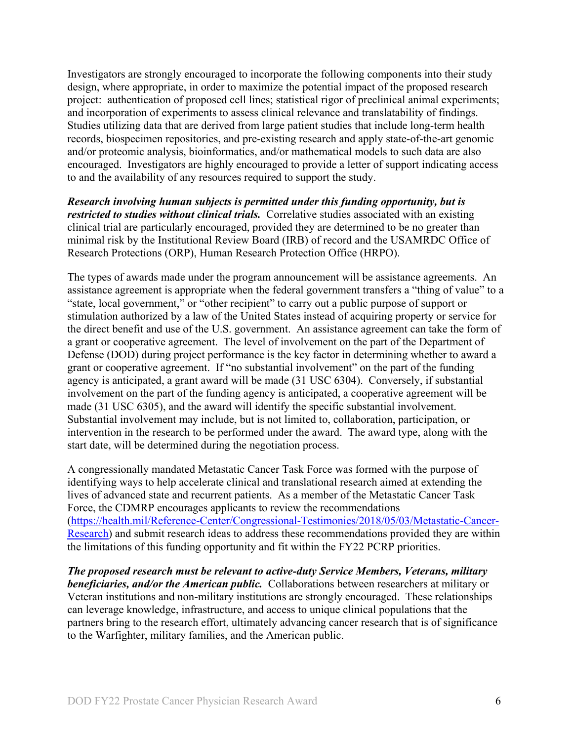Investigators are strongly encouraged to incorporate the following components into their study design, where appropriate, in order to maximize the potential impact of the proposed research project: authentication of proposed cell lines; statistical rigor of preclinical animal experiments; and incorporation of experiments to assess clinical relevance and translatability of findings. Studies utilizing data that are derived from large patient studies that include long-term health records, biospecimen repositories, and pre-existing research and apply state-of-the-art genomic and/or proteomic analysis, bioinformatics, and/or mathematical models to such data are also encouraged. Investigators are highly encouraged to provide a letter of support indicating access to and the availability of any resources required to support the study.

*Research involving human subjects is permitted under this funding opportunity, but is restricted to studies without clinical trials.* Correlative studies associated with an existing clinical trial are particularly encouraged, provided they are determined to be no greater than minimal risk by the Institutional Review Board (IRB) of record and the USAMRDC Office of Research Protections (ORP), Human Research Protection Office (HRPO).

The types of awards made under the program announcement will be assistance agreements. An assistance agreement is appropriate when the federal government transfers a "thing of value" to a "state, local government," or "other recipient" to carry out a public purpose of support or stimulation authorized by a law of the United States instead of acquiring property or service for the direct benefit and use of the U.S. government. An assistance agreement can take the form of a grant or cooperative agreement. The level of involvement on the part of the Department of Defense (DOD) during project performance is the key factor in determining whether to award a grant or cooperative agreement. If "no substantial involvement" on the part of the funding agency is anticipated, a grant award will be made (31 USC 6304). Conversely, if substantial involvement on the part of the funding agency is anticipated, a cooperative agreement will be made (31 USC 6305), and the award will identify the specific substantial involvement. Substantial involvement may include, but is not limited to, collaboration, participation, or intervention in the research to be performed under the award. The award type, along with the start date, will be determined during the negotiation process.

A congressionally mandated Metastatic Cancer Task Force was formed with the purpose of identifying ways to help accelerate clinical and translational research aimed at extending the lives of advanced state and recurrent patients. As a member of the Metastatic Cancer Task Force, the CDMRP encourages applicants to review the recommendations [\(https://health.mil/Reference-Center/Congressional-Testimonies/2018/05/03/Metastatic-Cancer-](https://health.mil/Reference-Center/Congressional-Testimonies/2018/05/03/Metastatic-Cancer-Research)[Research\)](https://health.mil/Reference-Center/Congressional-Testimonies/2018/05/03/Metastatic-Cancer-Research) and submit research ideas to address these recommendations provided they are within the limitations of this funding opportunity and fit within the FY22 PCRP priorities.

*The proposed research must be relevant to active-duty Service Members, Veterans, military beneficiaries, and/or the American public.* Collaborations between researchers at military or Veteran institutions and non-military institutions are strongly encouraged. These relationships can leverage knowledge, infrastructure, and access to unique clinical populations that the partners bring to the research effort, ultimately advancing cancer research that is of significance to the Warfighter, military families, and the American public.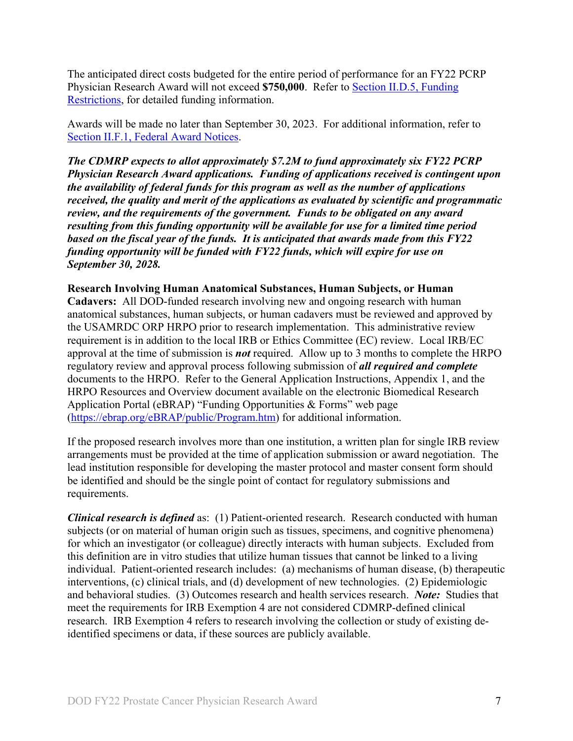The anticipated direct costs budgeted for the entire period of performance for an FY22 PCRP Physician Research Award will not exceed **\$750,000**. Refer to Section [II.D.5, Funding](#page-26-0)  [Restrictions,](#page-26-0) for detailed funding information.

Awards will be made no later than September 30, 2023. For additional information, refer to [Section II.F.1, Federal Award Notices.](#page-31-2)

*The CDMRP expects to allot approximately \$7.2M to fund approximately six FY22 PCRP Physician Research Award applications. Funding of applications received is contingent upon the availability of federal funds for this program as well as the number of applications received, the quality and merit of the applications as evaluated by scientific and programmatic review, and the requirements of the government. Funds to be obligated on any award resulting from this funding opportunity will be available for use for a limited time period based on the fiscal year of the funds. It is anticipated that awards made from this FY22 funding opportunity will be funded with FY22 funds, which will expire for use on September 30, 2028.*

#### **Research Involving Human Anatomical Substances, Human Subjects, or Human**

**Cadavers:** All DOD-funded research involving new and ongoing research with human anatomical substances, human subjects, or human cadavers must be reviewed and approved by the USAMRDC ORP HRPO prior to research implementation. This administrative review requirement is in addition to the local IRB or Ethics Committee (EC) review. Local IRB/EC approval at the time of submission is *not* required. Allow up to 3 months to complete the HRPO regulatory review and approval process following submission of *all required and complete* documents to the HRPO. Refer to the General Application Instructions, Appendix 1, and the HRPO Resources and Overview document available on the electronic Biomedical Research Application Portal (eBRAP) "Funding Opportunities & Forms" web page [\(https://ebrap.org/eBRAP/public/Program.htm\)](https://ebrap.org/eBRAP/public/Program.htm) for additional information.

If the proposed research involves more than one institution, a written plan for single IRB review arrangements must be provided at the time of application submission or award negotiation. The lead institution responsible for developing the master protocol and master consent form should be identified and should be the single point of contact for regulatory submissions and requirements.

*Clinical research is defined* as: (1) Patient-oriented research. Research conducted with human subjects (or on material of human origin such as tissues, specimens, and cognitive phenomena) for which an investigator (or colleague) directly interacts with human subjects. Excluded from this definition are in vitro studies that utilize human tissues that cannot be linked to a living individual. Patient-oriented research includes: (a) mechanisms of human disease, (b) therapeutic interventions, (c) clinical trials, and (d) development of new technologies. (2) Epidemiologic and behavioral studies. (3) Outcomes research and health services research. *Note:* Studies that meet the requirements for IRB Exemption 4 are not considered CDMRP-defined clinical research. IRB Exemption 4 refers to research involving the collection or study of existing deidentified specimens or data, if these sources are publicly available.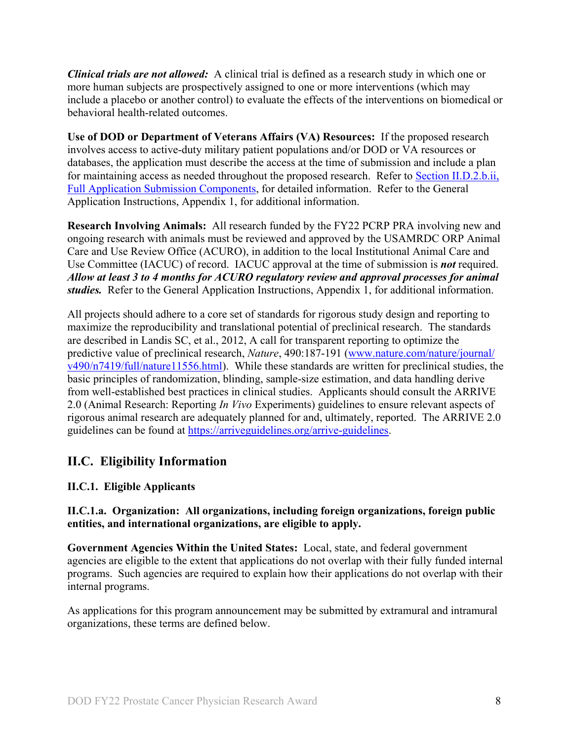*Clinical trials are not allowed:* A clinical trial is defined as a research study in which one or more human subjects are prospectively assigned to one or more interventions (which may include a placebo or another control) to evaluate the effects of the interventions on biomedical or behavioral health-related outcomes.

**Use of DOD or Department of Veterans Affairs (VA) Resources:** If the proposed research involves access to active-duty military patient populations and/or DOD or VA resources or databases, the application must describe the access at the time of submission and include a plan for maintaining access as needed throughout the proposed research. Refer to Section [II.D.2.b.ii,](#page-14-0)  [Full Application Submission Components,](#page-14-0) for detailed information. Refer to the General Application Instructions, Appendix 1, for additional information.

**Research Involving Animals:** All research funded by the FY22 PCRP PRA involving new and ongoing research with animals must be reviewed and approved by the USAMRDC ORP Animal Care and Use Review Office (ACURO), in addition to the local Institutional Animal Care and Use Committee (IACUC) of record. IACUC approval at the time of submission is *not* required. *Allow at least 3 to 4 months for ACURO regulatory review and approval processes for animal studies.* Refer to the General Application Instructions, Appendix 1, for additional information.

All projects should adhere to a core set of standards for rigorous study design and reporting to maximize the reproducibility and translational potential of preclinical research. The standards are described in Landis SC, et al., 2012, A call for transparent reporting to optimize the predictive value of preclinical research, *Nature*, 490:187-191 [\(www.nature.com/nature/journal/](http://www.nature.com/nature/journal/v490/n7419/full/nature11556.html) [v490/n7419/full/nature11556.html\)](http://www.nature.com/nature/journal/v490/n7419/full/nature11556.html). While these standards are written for preclinical studies, the basic principles of randomization, blinding, sample-size estimation, and data handling derive from well-established best practices in clinical studies. Applicants should consult the ARRIVE 2.0 (Animal Research: Reporting *In Vivo* Experiments) guidelines to ensure relevant aspects of rigorous animal research are adequately planned for and, ultimately, reported. The ARRIVE 2.0 guidelines can be found at [https://arriveguidelines.org/arrive-guidelines.](https://arriveguidelines.org/arrive-guidelines)

## <span id="page-7-0"></span>**II.C. Eligibility Information**

## <span id="page-7-1"></span>**II.C.1. Eligible Applicants**

### **II.C.1.a. Organization: All organizations, including foreign organizations, foreign public entities, and international organizations, are eligible to apply.**

**Government Agencies Within the United States:** Local, state, and federal government agencies are eligible to the extent that applications do not overlap with their fully funded internal programs. Such agencies are required to explain how their applications do not overlap with their internal programs.

As applications for this program announcement may be submitted by extramural and intramural organizations, these terms are defined below.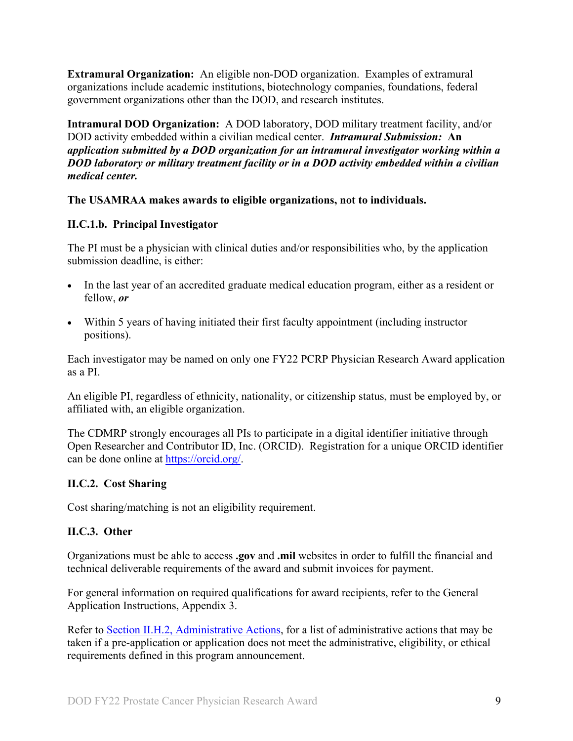**Extramural Organization:** An eligible non-DOD organization. Examples of extramural organizations include academic institutions, biotechnology companies, foundations, federal government organizations other than the DOD, and research institutes.

**Intramural DOD Organization:** A DOD laboratory, DOD military treatment facility, and/or DOD activity embedded within a civilian medical center. *Intramural Submission:* **An**  *application submitted by a DOD organization for an intramural investigator working within a DOD laboratory or military treatment facility or in a DOD activity embedded within a civilian medical center.*

#### **The USAMRAA makes awards to eligible organizations, not to individuals.**

#### **II.C.1.b. Principal Investigator**

The PI must be a physician with clinical duties and/or responsibilities who, by the application submission deadline, is either:

- In the last year of an accredited graduate medical education program, either as a resident or fellow, *or*
- Within 5 years of having initiated their first faculty appointment (including instructor positions).

Each investigator may be named on only one FY22 PCRP Physician Research Award application as a PI.

An eligible PI, regardless of ethnicity, nationality, or citizenship status, must be employed by, or affiliated with, an eligible organization.

The CDMRP strongly encourages all PIs to participate in a digital identifier initiative through Open Researcher and Contributor ID, Inc. (ORCID). Registration for a unique ORCID identifier can be done online at [https://orcid.org/.](https://orcid.org/)

#### <span id="page-8-0"></span>**II.C.2. Cost Sharing**

Cost sharing/matching is not an eligibility requirement.

#### <span id="page-8-1"></span>**II.C.3. Other**

Organizations must be able to access **.gov** and **.mil** websites in order to fulfill the financial and technical deliverable requirements of the award and submit invoices for payment.

For general information on required qualifications for award recipients, refer to the General Application Instructions, Appendix 3.

Refer to [Section II.H.2, Administrative Actions,](#page-34-2) for a list of administrative actions that may be taken if a pre-application or application does not meet the administrative, eligibility, or ethical requirements defined in this program announcement.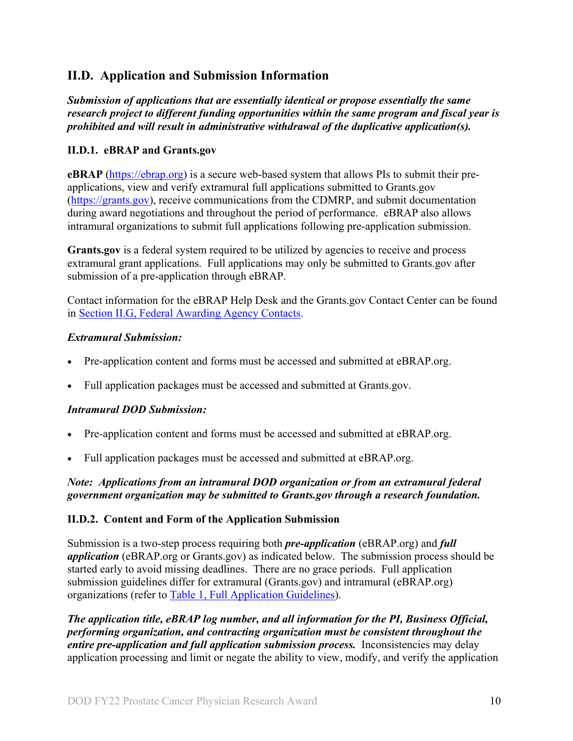## <span id="page-9-0"></span>**II.D. Application and Submission Information**

*Submission of applications that are essentially identical or propose essentially the same research project to different funding opportunities within the same program and fiscal year is prohibited and will result in administrative withdrawal of the duplicative application(s).*

### <span id="page-9-1"></span>**II.D.1. eBRAP and Grants.gov**

**eBRAP** [\(https://ebrap.org\)](https://ebrap.org/) is a secure web-based system that allows PIs to submit their preapplications, view and verify extramural full applications submitted to Grants.gov [\(https://grants.gov\)](https://grants.gov/), receive communications from the CDMRP, and submit documentation during award negotiations and throughout the period of performance. eBRAP also allows intramural organizations to submit full applications following pre-application submission.

Grants.gov is a federal system required to be utilized by agencies to receive and process extramural grant applications. Full applications may only be submitted to Grants.gov after submission of a pre-application through eBRAP.

Contact information for the eBRAP Help Desk and the Grants.gov Contact Center can be found in [Section II.G, Federal Awarding Agency Contacts.](#page-33-1)

### *Extramural Submission:*

- Pre-application content and forms must be accessed and submitted at eBRAP.org.
- Full application packages must be accessed and submitted at Grants.gov.

## *Intramural DOD Submission:*

- Pre-application content and forms must be accessed and submitted at eBRAP.org.
- Full application packages must be accessed and submitted at eBRAP.org.

### *Note: Applications from an intramural DOD organization or from an extramural federal government organization may be submitted to Grants.gov through a research foundation.*

## <span id="page-9-2"></span>**II.D.2. Content and Form of the Application Submission**

Submission is a two-step process requiring both *pre-application* (eBRAP.org) and *full application* (eBRAP.org or Grants.gov) as indicated below. The submission process should be started early to avoid missing deadlines. There are no grace periods. Full application submission guidelines differ for extramural (Grants.gov) and intramural (eBRAP.org) organizations (refer to [Table 1, Full Application Guidelines\)](#page-12-0).

*The application title, eBRAP log number, and all information for the PI, Business Official, performing organization, and contracting organization must be consistent throughout the entire pre-application and full application submission process.* Inconsistencies may delay application processing and limit or negate the ability to view, modify, and verify the application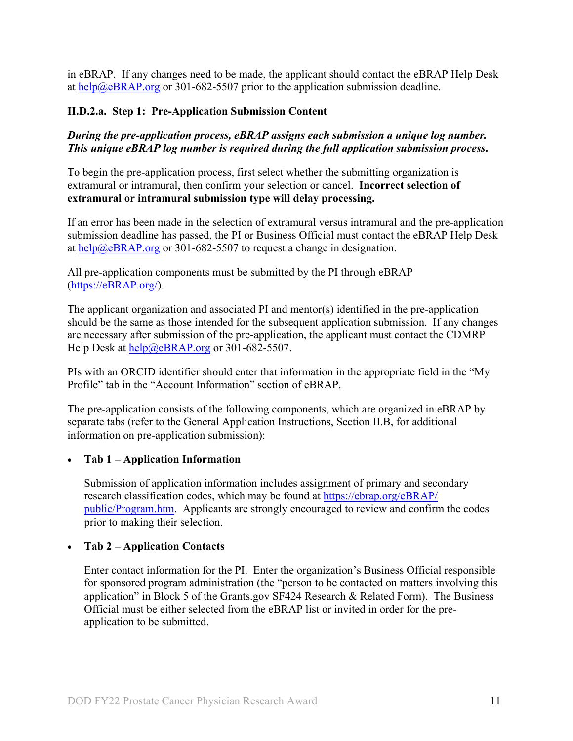in eBRAP. If any changes need to be made, the applicant should contact the eBRAP Help Desk at [help@eBRAP.org](mailto:help@eBRAP.org) or 301-682-5507 prior to the application submission deadline.

#### **II.D.2.a. Step 1: Pre-Application Submission Content**

*During the pre-application process, eBRAP assigns each submission a unique log number. This unique eBRAP log number is required during the full application submission process***.**

To begin the pre-application process, first select whether the submitting organization is extramural or intramural, then confirm your selection or cancel. **Incorrect selection of extramural or intramural submission type will delay processing.**

If an error has been made in the selection of extramural versus intramural and the pre-application submission deadline has passed, the PI or Business Official must contact the eBRAP Help Desk at [help@eBRAP.org](mailto:help@eBRAP.org) or 301-682-5507 to request a change in designation.

All pre-application components must be submitted by the PI through eBRAP [\(https://eBRAP.org/\)](https://ebrap.org/).

The applicant organization and associated PI and mentor(s) identified in the pre-application should be the same as those intended for the subsequent application submission. If any changes are necessary after submission of the pre-application, the applicant must contact the CDMRP Help Desk at [help@eBRAP.org](mailto:help@eBRAP.org) or 301-682-5507.

PIs with an ORCID identifier should enter that information in the appropriate field in the "My Profile" tab in the "Account Information" section of eBRAP.

The pre-application consists of the following components, which are organized in eBRAP by separate tabs (refer to the General Application Instructions, Section II.B, for additional information on pre-application submission):

#### • **Tab 1 – Application Information**

Submission of application information includes assignment of primary and secondary research classification codes, which may be found at [https://ebrap.org/eBRAP/](https://ebrap.org/eBRAP/public/Program.htm) [public/Program.htm.](https://ebrap.org/eBRAP/public/Program.htm) Applicants are strongly encouraged to review and confirm the codes prior to making their selection.

#### • **Tab 2 – Application Contacts**

Enter contact information for the PI. Enter the organization's Business Official responsible for sponsored program administration (the "person to be contacted on matters involving this application" in Block 5 of the Grants.gov SF424 Research & Related Form). The Business Official must be either selected from the eBRAP list or invited in order for the preapplication to be submitted.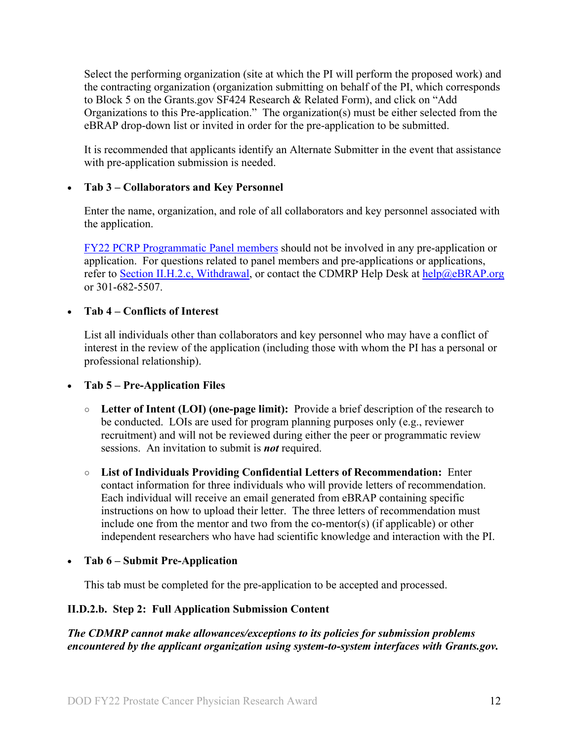Select the performing organization (site at which the PI will perform the proposed work) and the contracting organization (organization submitting on behalf of the PI, which corresponds to Block 5 on the Grants.gov SF424 Research & Related Form), and click on "Add Organizations to this Pre-application." The organization(s) must be either selected from the eBRAP drop-down list or invited in order for the pre-application to be submitted.

It is recommended that applicants identify an Alternate Submitter in the event that assistance with pre-application submission is needed.

### • **Tab 3 – Collaborators and Key Personnel**

Enter the name, organization, and role of all collaborators and key personnel associated with the application.

[FY22 PCRP Programmatic Panel members](https://cdmrp.army.mil/pcrp/panels/panel22) should not be involved in any pre-application or application. For questions related to panel members and pre-applications or applications, refer to [Section II.H.2.c, Withdrawal,](#page-35-0) or contact the CDMRP Help Desk at [help@eBRAP.org](mailto:help@eBRAP.org) or 301-682-5507.

#### • **Tab 4 – Conflicts of Interest**

List all individuals other than collaborators and key personnel who may have a conflict of interest in the review of the application (including those with whom the PI has a personal or professional relationship).

• **Tab 5 – Pre-Application Files**

- **○ Letter of Intent (LOI) (one-page limit):** Provide a brief description of the research to be conducted. LOIs are used for program planning purposes only (e.g., reviewer recruitment) and will not be reviewed during either the peer or programmatic review sessions. An invitation to submit is *not* required.
- **○ List of Individuals Providing Confidential Letters of Recommendation:** Enter contact information for three individuals who will provide letters of recommendation. Each individual will receive an email generated from eBRAP containing specific instructions on how to upload their letter. The three letters of recommendation must include one from the mentor and two from the co-mentor(s) (if applicable) or other independent researchers who have had scientific knowledge and interaction with the PI.

• **Tab 6 – Submit Pre-Application**

This tab must be completed for the pre-application to be accepted and processed.

## **II.D.2.b. Step 2: Full Application Submission Content**

*The CDMRP cannot make allowances/exceptions to its policies for submission problems encountered by the applicant organization using system-to-system interfaces with Grants.gov.*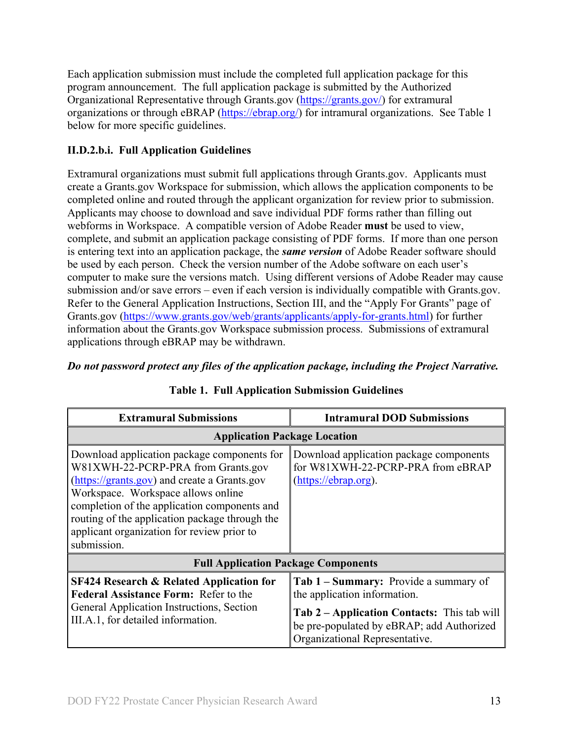Each application submission must include the completed full application package for this program announcement. The full application package is submitted by the Authorized Organizational Representative through Grants.gov [\(https://grants.gov/\)](https://www.grants.gov/) for extramural organizations or through eBRAP [\(https://ebrap.org/\)](https://ebrap.org/) for intramural organizations. See Table 1 below for more specific guidelines.

## **II.D.2.b.i. Full Application Guidelines**

Extramural organizations must submit full applications through Grants.gov. Applicants must create a Grants.gov Workspace for submission, which allows the application components to be completed online and routed through the applicant organization for review prior to submission. Applicants may choose to download and save individual PDF forms rather than filling out webforms in Workspace. A compatible version of Adobe Reader **must** be used to view, complete, and submit an application package consisting of PDF forms. If more than one person is entering text into an application package, the *same version* of Adobe Reader software should be used by each person. Check the version number of the Adobe software on each user's computer to make sure the versions match. Using different versions of Adobe Reader may cause submission and/or save errors – even if each version is individually compatible with Grants.gov. Refer to the General Application Instructions, Section III, and the "Apply For Grants" page of Grants.gov [\(https://www.grants.gov/web/grants/applicants/apply-for-grants.html\)](https://www.grants.gov/web/grants/applicants/apply-for-grants.html) for further information about the Grants.gov Workspace submission process. Submissions of extramural applications through eBRAP may be withdrawn.

## *Do not password protect any files of the application package, including the Project Narrative.*

<span id="page-12-0"></span>

| <b>Extramural Submissions</b>                                                                                                                                                                                                                                                                                                          | <b>Intramural DOD Submissions</b>                                                                                          |  |
|----------------------------------------------------------------------------------------------------------------------------------------------------------------------------------------------------------------------------------------------------------------------------------------------------------------------------------------|----------------------------------------------------------------------------------------------------------------------------|--|
| <b>Application Package Location</b>                                                                                                                                                                                                                                                                                                    |                                                                                                                            |  |
| Download application package components for<br>W81XWH-22-PCRP-PRA from Grants.gov<br>(https://grants.gov) and create a Grants.gov<br>Workspace. Workspace allows online<br>completion of the application components and<br>routing of the application package through the<br>applicant organization for review prior to<br>submission. | Download application package components<br>for W81XWH-22-PCRP-PRA from eBRAP<br>(https://ebrap.org).                       |  |
| <b>Full Application Package Components</b>                                                                                                                                                                                                                                                                                             |                                                                                                                            |  |
| <b>SF424 Research &amp; Related Application for</b><br><b>Federal Assistance Form: Refer to the</b><br>General Application Instructions, Section                                                                                                                                                                                       | Tab 1 – Summary: Provide a summary of<br>the application information.                                                      |  |
| III.A.1, for detailed information.                                                                                                                                                                                                                                                                                                     | Tab 2 – Application Contacts: This tab will<br>be pre-populated by eBRAP; add Authorized<br>Organizational Representative. |  |

## **Table 1. Full Application Submission Guidelines**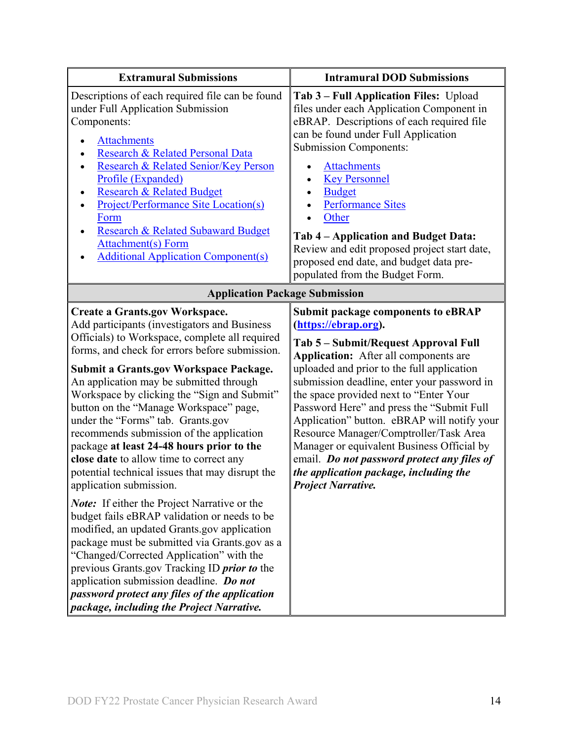| <b>Extramural Submissions</b>                                                                                                                                                                                                                                                                                                                                                                                                                                                                                                                                                                                                                                                                                                                                                                                                                                                                                                                                                                                                                                                            | <b>Intramural DOD Submissions</b>                                                                                                                                                                                                                                                                                                                                                                                                                                                                                                                                                                          |  |
|------------------------------------------------------------------------------------------------------------------------------------------------------------------------------------------------------------------------------------------------------------------------------------------------------------------------------------------------------------------------------------------------------------------------------------------------------------------------------------------------------------------------------------------------------------------------------------------------------------------------------------------------------------------------------------------------------------------------------------------------------------------------------------------------------------------------------------------------------------------------------------------------------------------------------------------------------------------------------------------------------------------------------------------------------------------------------------------|------------------------------------------------------------------------------------------------------------------------------------------------------------------------------------------------------------------------------------------------------------------------------------------------------------------------------------------------------------------------------------------------------------------------------------------------------------------------------------------------------------------------------------------------------------------------------------------------------------|--|
| Descriptions of each required file can be found<br>under Full Application Submission<br>Components:<br><b>Attachments</b><br>Research & Related Personal Data<br>Research & Related Senior/Key Person<br>Profile (Expanded)<br><b>Research &amp; Related Budget</b><br><b>Project/Performance Site Location(s)</b><br>Form<br><b>Research &amp; Related Subaward Budget</b><br><b>Attachment(s)</b> Form<br><b>Additional Application Component(s)</b>                                                                                                                                                                                                                                                                                                                                                                                                                                                                                                                                                                                                                                   | Tab 3 - Full Application Files: Upload<br>files under each Application Component in<br>eBRAP. Descriptions of each required file<br>can be found under Full Application<br><b>Submission Components:</b><br><b>Attachments</b><br><b>Key Personnel</b><br><b>Budget</b><br><b>Performance Sites</b><br>Other<br>Tab 4 – Application and Budget Data:<br>Review and edit proposed project start date,<br>proposed end date, and budget data pre-<br>populated from the Budget Form.                                                                                                                         |  |
| <b>Application Package Submission</b>                                                                                                                                                                                                                                                                                                                                                                                                                                                                                                                                                                                                                                                                                                                                                                                                                                                                                                                                                                                                                                                    |                                                                                                                                                                                                                                                                                                                                                                                                                                                                                                                                                                                                            |  |
| <b>Create a Grants.gov Workspace.</b><br>Add participants (investigators and Business<br>Officials) to Workspace, complete all required<br>forms, and check for errors before submission.<br><b>Submit a Grants.gov Workspace Package.</b><br>An application may be submitted through<br>Workspace by clicking the "Sign and Submit"<br>button on the "Manage Workspace" page,<br>under the "Forms" tab. Grants.gov<br>recommends submission of the application<br>package at least 24-48 hours prior to the<br>close date to allow time to correct any<br>potential technical issues that may disrupt the<br>application submission.<br><b>Note:</b> If either the Project Narrative or the<br>budget fails eBRAP validation or needs to be<br>modified, an updated Grants.gov application<br>package must be submitted via Grants.gov as a<br>"Changed/Corrected Application" with the<br>previous Grants.gov Tracking ID <i>prior to</i> the<br>application submission deadline. Do not<br>password protect any files of the application<br>package, including the Project Narrative. | <b>Submit package components to eBRAP</b><br>(https://ebrap.org).<br>Tab 5 - Submit/Request Approval Full<br><b>Application:</b> After all components are<br>uploaded and prior to the full application<br>submission deadline, enter your password in<br>the space provided next to "Enter Your<br>Password Here" and press the "Submit Full<br>Application" button. eBRAP will notify your<br>Resource Manager/Comptroller/Task Area<br>Manager or equivalent Business Official by<br>email. Do not password protect any files of<br>the application package, including the<br><b>Project Narrative.</b> |  |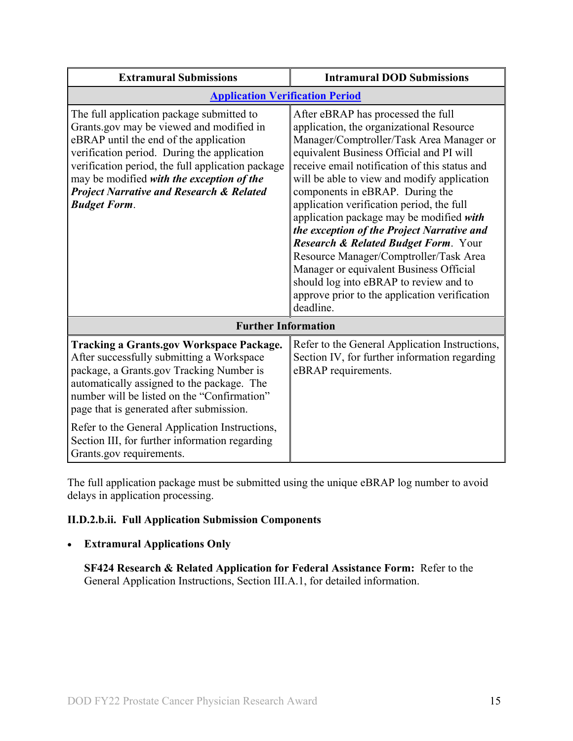| <b>Extramural Submissions</b>                                                                                                                                                                                                                                                                                                                                  | <b>Intramural DOD Submissions</b>                                                                                                                                                                                                                                                                                                                                                                                                                                                                                                                                                                                                                                                     |  |
|----------------------------------------------------------------------------------------------------------------------------------------------------------------------------------------------------------------------------------------------------------------------------------------------------------------------------------------------------------------|---------------------------------------------------------------------------------------------------------------------------------------------------------------------------------------------------------------------------------------------------------------------------------------------------------------------------------------------------------------------------------------------------------------------------------------------------------------------------------------------------------------------------------------------------------------------------------------------------------------------------------------------------------------------------------------|--|
| <b>Application Verification Period</b>                                                                                                                                                                                                                                                                                                                         |                                                                                                                                                                                                                                                                                                                                                                                                                                                                                                                                                                                                                                                                                       |  |
| The full application package submitted to<br>Grants.gov may be viewed and modified in<br>eBRAP until the end of the application<br>verification period. During the application<br>verification period, the full application package<br>may be modified with the exception of the<br><b>Project Narrative and Research &amp; Related</b><br><b>Budget Form.</b> | After eBRAP has processed the full<br>application, the organizational Resource<br>Manager/Comptroller/Task Area Manager or<br>equivalent Business Official and PI will<br>receive email notification of this status and<br>will be able to view and modify application<br>components in eBRAP. During the<br>application verification period, the full<br>application package may be modified with<br>the exception of the Project Narrative and<br>Research & Related Budget Form. Your<br>Resource Manager/Comptroller/Task Area<br>Manager or equivalent Business Official<br>should log into eBRAP to review and to<br>approve prior to the application verification<br>deadline. |  |
| <b>Further Information</b>                                                                                                                                                                                                                                                                                                                                     |                                                                                                                                                                                                                                                                                                                                                                                                                                                                                                                                                                                                                                                                                       |  |
| <b>Tracking a Grants.gov Workspace Package.</b><br>After successfully submitting a Workspace<br>package, a Grants.gov Tracking Number is<br>automatically assigned to the package. The<br>number will be listed on the "Confirmation"<br>page that is generated after submission.                                                                              | Refer to the General Application Instructions,<br>Section IV, for further information regarding<br>eBRAP requirements.                                                                                                                                                                                                                                                                                                                                                                                                                                                                                                                                                                |  |
| Refer to the General Application Instructions,<br>Section III, for further information regarding<br>Grants.gov requirements.                                                                                                                                                                                                                                   |                                                                                                                                                                                                                                                                                                                                                                                                                                                                                                                                                                                                                                                                                       |  |

The full application package must be submitted using the unique eBRAP log number to avoid delays in application processing.

## <span id="page-14-0"></span>**II.D.2.b.ii. Full Application Submission Components**

## • **Extramural Applications Only**

**SF424 Research & Related Application for Federal Assistance Form:** Refer to the General Application Instructions, Section III.A.1, for detailed information.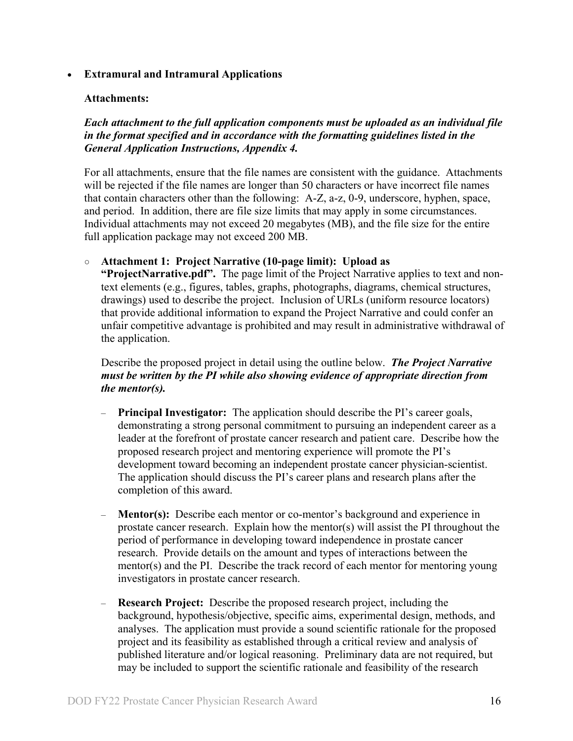#### • **Extramural and Intramural Applications**

#### <span id="page-15-0"></span>**Attachments:**

*Each attachment to the full application components must be uploaded as an individual file in the format specified and in accordance with the formatting guidelines listed in the General Application Instructions, Appendix 4.* 

For all attachments, ensure that the file names are consistent with the guidance. Attachments will be rejected if the file names are longer than 50 characters or have incorrect file names that contain characters other than the following: A-Z, a-z, 0-9, underscore, hyphen, space, and period. In addition, there are file size limits that may apply in some circumstances. Individual attachments may not exceed 20 megabytes (MB), and the file size for the entire full application package may not exceed 200 MB.

#### ○ **Attachment 1: Project Narrative (10-page limit): Upload as**

**"ProjectNarrative.pdf".** The page limit of the Project Narrative applies to text and nontext elements (e.g., figures, tables, graphs, photographs, diagrams, chemical structures, drawings) used to describe the project. Inclusion of URLs (uniform resource locators) that provide additional information to expand the Project Narrative and could confer an unfair competitive advantage is prohibited and may result in administrative withdrawal of the application.

Describe the proposed project in detail using the outline below. *The Project Narrative must be written by the PI while also showing evidence of appropriate direction from the mentor(s).* 

- **Principal Investigator:** The application should describe the PI's career goals, demonstrating a strong personal commitment to pursuing an independent career as a leader at the forefront of prostate cancer research and patient care. Describe how the proposed research project and mentoring experience will promote the PI's development toward becoming an independent prostate cancer physician-scientist. The application should discuss the PI's career plans and research plans after the completion of this award.
- **Mentor(s):** Describe each mentor or co-mentor's background and experience in prostate cancer research. Explain how the mentor(s) will assist the PI throughout the period of performance in developing toward independence in prostate cancer research. Provide details on the amount and types of interactions between the mentor(s) and the PI. Describe the track record of each mentor for mentoring young investigators in prostate cancer research.
- **Research Project:** Describe the proposed research project, including the background, hypothesis/objective, specific aims, experimental design, methods, and analyses. The application must provide a sound scientific rationale for the proposed project and its feasibility as established through a critical review and analysis of published literature and/or logical reasoning. Preliminary data are not required, but may be included to support the scientific rationale and feasibility of the research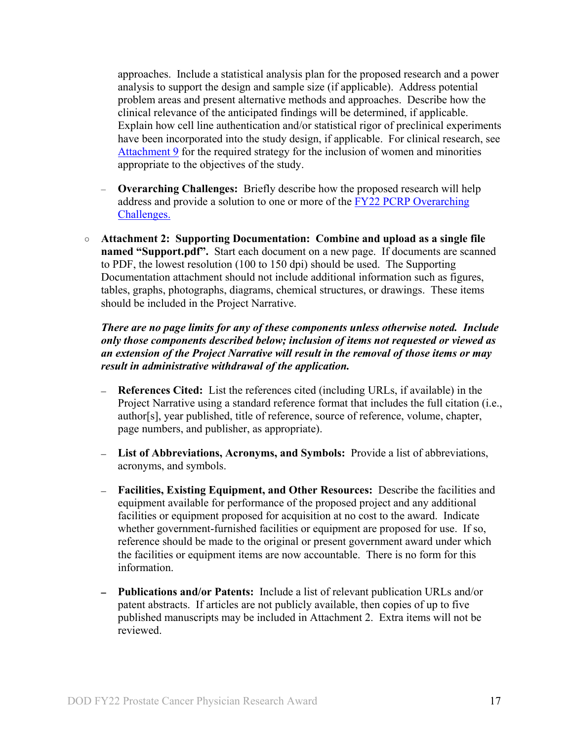approaches. Include a statistical analysis plan for the proposed research and a power analysis to support the design and sample size (if applicable). Address potential problem areas and present alternative methods and approaches. Describe how the clinical relevance of the anticipated findings will be determined, if applicable. Explain how cell line authentication and/or statistical rigor of preclinical experiments have been incorporated into the study design, if applicable. For clinical research, see [Attachment 9](#page-21-0) for the required strategy for the inclusion of women and minorities appropriate to the objectives of the study.

- **Overarching Challenges:** Briefly describe how the proposed research will help address and provide a solution to one or more of the [FY22 PCRP Overarching](#page-2-3)  [Challenges.](#page-2-3)
- **Attachment 2: Supporting Documentation: Combine and upload as a single file named "Support.pdf".** Start each document on a new page. If documents are scanned to PDF, the lowest resolution (100 to 150 dpi) should be used. The Supporting Documentation attachment should not include additional information such as figures, tables, graphs, photographs, diagrams, chemical structures, or drawings. These items should be included in the Project Narrative.

*There are no page limits for any of these components unless otherwise noted. Include only those components described below; inclusion of items not requested or viewed as an extension of the Project Narrative will result in the removal of those items or may result in administrative withdrawal of the application.*

- **References Cited:** List the references cited (including URLs, if available) in the Project Narrative using a standard reference format that includes the full citation (i.e., author[s], year published, title of reference, source of reference, volume, chapter, page numbers, and publisher, as appropriate).
- **List of Abbreviations, Acronyms, and Symbols:** Provide a list of abbreviations, acronyms, and symbols.
- **Facilities, Existing Equipment, and Other Resources:** Describe the facilities and equipment available for performance of the proposed project and any additional facilities or equipment proposed for acquisition at no cost to the award. Indicate whether government-furnished facilities or equipment are proposed for use. If so, reference should be made to the original or present government award under which the facilities or equipment items are now accountable. There is no form for this information.
- **Publications and/or Patents:** Include a list of relevant publication URLs and/or patent abstracts. If articles are not publicly available, then copies of up to five published manuscripts may be included in Attachment 2. Extra items will not be reviewed.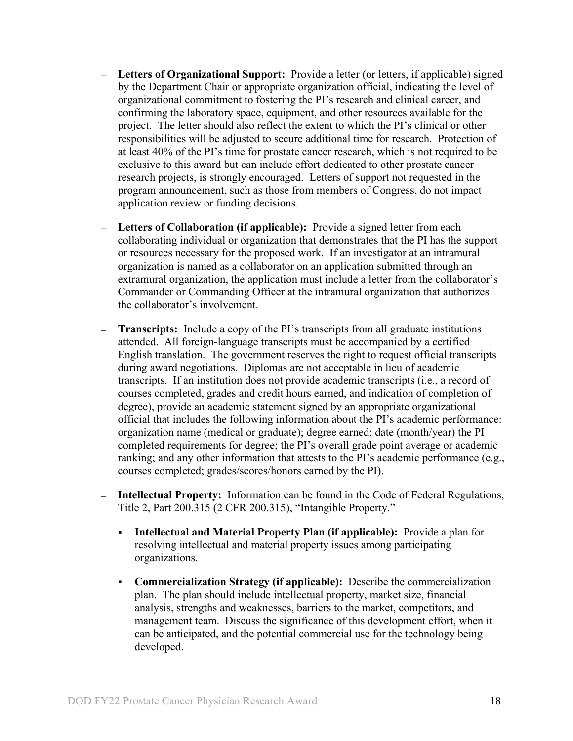- **Letters of Organizational Support:** Provide a letter (or letters, if applicable) signed by the Department Chair or appropriate organization official, indicating the level of organizational commitment to fostering the PI's research and clinical career, and confirming the laboratory space, equipment, and other resources available for the project. The letter should also reflect the extent to which the PI's clinical or other responsibilities will be adjusted to secure additional time for research. Protection of at least 40% of the PI's time for prostate cancer research, which is not required to be exclusive to this award but can include effort dedicated to other prostate cancer research projects, is strongly encouraged. Letters of support not requested in the program announcement, such as those from members of Congress, do not impact application review or funding decisions.
- **Letters of Collaboration (if applicable):** Provide a signed letter from each collaborating individual or organization that demonstrates that the PI has the support or resources necessary for the proposed work. If an investigator at an intramural organization is named as a collaborator on an application submitted through an extramural organization, the application must include a letter from the collaborator's Commander or Commanding Officer at the intramural organization that authorizes the collaborator's involvement.
- **Transcripts:** Include a copy of the PI's transcripts from all graduate institutions attended. All foreign-language transcripts must be accompanied by a certified English translation. The government reserves the right to request official transcripts during award negotiations. Diplomas are not acceptable in lieu of academic transcripts. If an institution does not provide academic transcripts (i.e., a record of courses completed, grades and credit hours earned, and indication of completion of degree), provide an academic statement signed by an appropriate organizational official that includes the following information about the PI's academic performance: organization name (medical or graduate); degree earned; date (month/year) the PI completed requirements for degree; the PI's overall grade point average or academic ranking; and any other information that attests to the PI's academic performance (e.g., courses completed; grades/scores/honors earned by the PI).
- **Intellectual Property:** Information can be found in the Code of Federal Regulations, Title 2, Part 200.315 (2 CFR 200.315), "Intangible Property."
	- **Intellectual and Material Property Plan (if applicable):** Provide a plan for resolving intellectual and material property issues among participating organizations.
	- **Commercialization Strategy (if applicable):** Describe the commercialization plan. The plan should include intellectual property, market size, financial analysis, strengths and weaknesses, barriers to the market, competitors, and management team. Discuss the significance of this development effort, when it can be anticipated, and the potential commercial use for the technology being developed.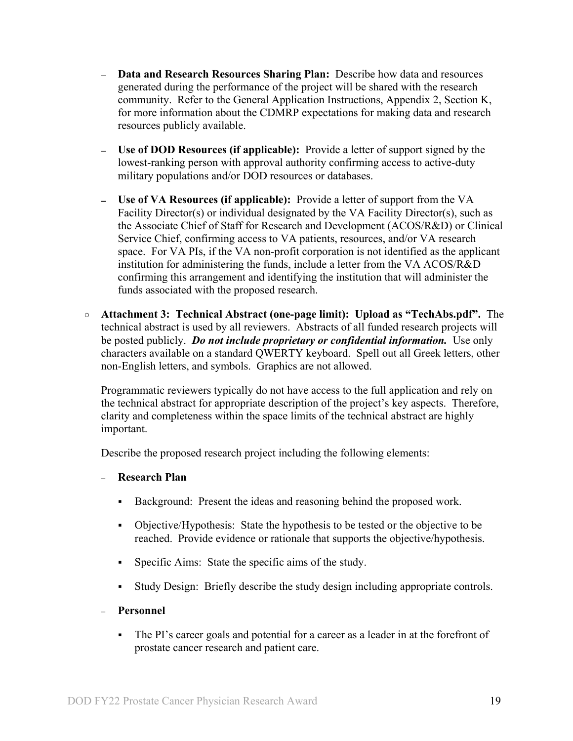- **Data and Research Resources Sharing Plan:** Describe how data and resources generated during the performance of the project will be shared with the research community. Refer to the General Application Instructions, Appendix 2, Section K, for more information about the CDMRP expectations for making data and research resources publicly available.
- **Use of DOD Resources (if applicable):** Provide a letter of support signed by the lowest-ranking person with approval authority confirming access to active-duty military populations and/or DOD resources or databases.
- **Use of VA Resources (if applicable):** Provide a letter of support from the VA Facility Director(s) or individual designated by the VA Facility Director(s), such as the Associate Chief of Staff for Research and Development (ACOS/R&D) or Clinical Service Chief, confirming access to VA patients, resources, and/or VA research space. For VA PIs, if the VA non-profit corporation is not identified as the applicant institution for administering the funds, include a letter from the VA ACOS/R&D confirming this arrangement and identifying the institution that will administer the funds associated with the proposed research.
- **Attachment 3: Technical Abstract (one-page limit): Upload as "TechAbs.pdf".** The technical abstract is used by all reviewers. Abstracts of all funded research projects will be posted publicly. *Do not include proprietary or confidential information.* Use only characters available on a standard QWERTY keyboard. Spell out all Greek letters, other non-English letters, and symbols. Graphics are not allowed.

Programmatic reviewers typically do not have access to the full application and rely on the technical abstract for appropriate description of the project's key aspects. Therefore, clarity and completeness within the space limits of the technical abstract are highly important.

Describe the proposed research project including the following elements:

#### – **Research Plan**

- Background: Present the ideas and reasoning behind the proposed work.
- Objective/Hypothesis: State the hypothesis to be tested or the objective to be reached. Provide evidence or rationale that supports the objective/hypothesis.
- Specific Aims: State the specific aims of the study.
- Study Design: Briefly describe the study design including appropriate controls.
- **Personnel**
	- The PI's career goals and potential for a career as a leader in at the forefront of prostate cancer research and patient care.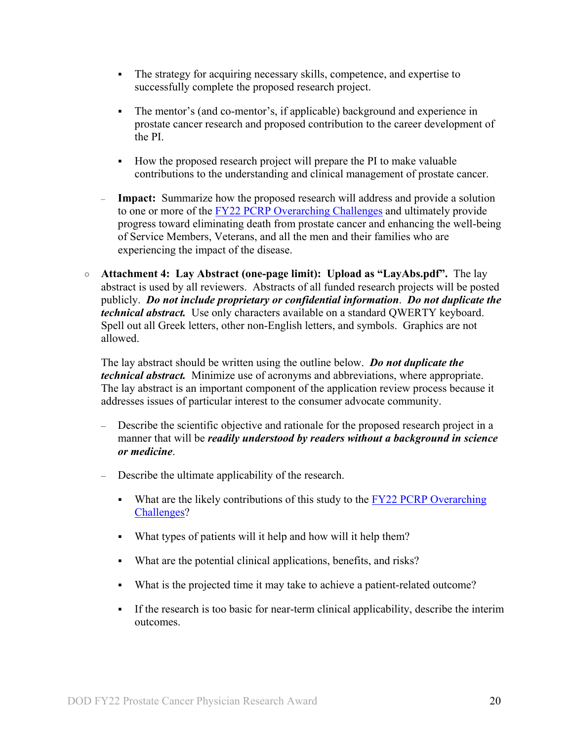- The strategy for acquiring necessary skills, competence, and expertise to successfully complete the proposed research project.
- The mentor's (and co-mentor's, if applicable) background and experience in prostate cancer research and proposed contribution to the career development of the PI.
- How the proposed research project will prepare the PI to make valuable contributions to the understanding and clinical management of prostate cancer.
- **Impact:** Summarize how the proposed research will address and provide a solution to one or more of the [FY22 PCRP Overarching Challenges](#page-2-3) and ultimately provide progress toward eliminating death from prostate cancer and enhancing the well-being of Service Members, Veterans, and all the men and their families who are experiencing the impact of the disease.
- **Attachment 4: Lay Abstract (one-page limit): Upload as "LayAbs.pdf".** The lay abstract is used by all reviewers. Abstracts of all funded research projects will be posted publicly. *Do not include proprietary or confidential information*. *Do not duplicate the technical abstract.* Use only characters available on a standard QWERTY keyboard. Spell out all Greek letters, other non-English letters, and symbols. Graphics are not allowed.

The lay abstract should be written using the outline below. *Do not duplicate the technical abstract.* Minimize use of acronyms and abbreviations, where appropriate. The lay abstract is an important component of the application review process because it addresses issues of particular interest to the consumer advocate community.

- Describe the scientific objective and rationale for the proposed research project in a manner that will be *readily understood by readers without a background in science or medicine*.
- Describe the ultimate applicability of the research.
	- What are the likely contributions of this study to the  $\frac{FY}{22}$  PCRP Overarching [Challenges?](#page-2-3)
	- What types of patients will it help and how will it help them?
	- What are the potential clinical applications, benefits, and risks?
	- What is the projected time it may take to achieve a patient-related outcome?
	- If the research is too basic for near-term clinical applicability, describe the interim outcomes.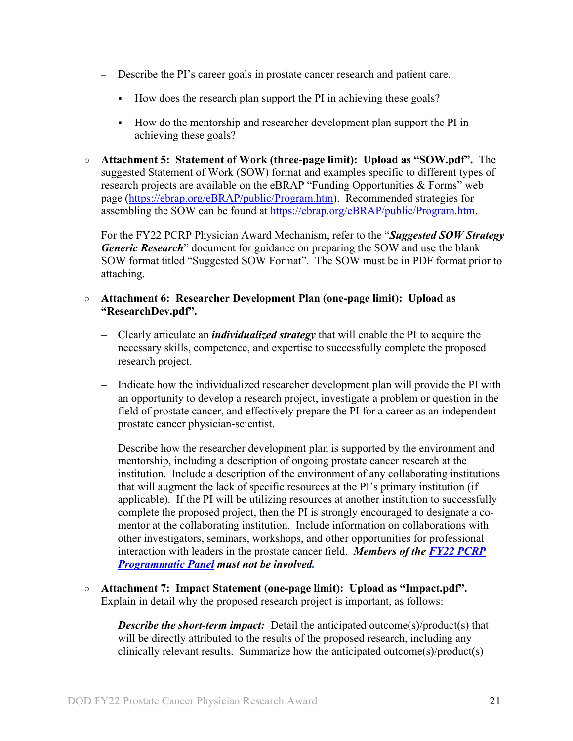- Describe the PI's career goals in prostate cancer research and patient care.
	- How does the research plan support the PI in achieving these goals?
	- How do the mentorship and researcher development plan support the PI in achieving these goals?
- **Attachment 5: Statement of Work (three-page limit): Upload as "SOW.pdf".** The suggested Statement of Work (SOW) format and examples specific to different types of research projects are available on the eBRAP "Funding Opportunities & Forms" web page [\(https://ebrap.org/eBRAP/public/Program.htm\)](https://ebrap.org/eBRAP/public/Program.htm). Recommended strategies for assembling the SOW can be found at [https://ebrap.org/eBRAP/public/Program.htm.](https://ebrap.org/eBRAP/public/Program.htm)

For the FY22 PCRP Physician Award Mechanism, refer to the "*Suggested SOW Strategy Generic Research*" document for guidance on preparing the SOW and use the blank SOW format titled "Suggested SOW Format". The SOW must be in PDF format prior to attaching.

#### ○ **Attachment 6: Researcher Development Plan (one-page limit): Upload as "ResearchDev.pdf".**

- Clearly articulate an *individualized strategy* that will enable the PI to acquire the necessary skills, competence, and expertise to successfully complete the proposed research project.
- Indicate how the individualized researcher development plan will provide the PI with an opportunity to develop a research project, investigate a problem or question in the field of prostate cancer, and effectively prepare the PI for a career as an independent prostate cancer physician-scientist.
- Describe how the researcher development plan is supported by the environment and mentorship, including a description of ongoing prostate cancer research at the institution. Include a description of the environment of any collaborating institutions that will augment the lack of specific resources at the PI's primary institution (if applicable). If the PI will be utilizing resources at another institution to successfully complete the proposed project, then the PI is strongly encouraged to designate a comentor at the collaborating institution. Include information on collaborations with other investigators, seminars, workshops, and other opportunities for professional interaction with leaders in the prostate cancer field. *Members of the [FY22 PCRP](https://cdmrp.army.mil/pcrp/panels/panel22)  [Programmatic Panel](https://cdmrp.army.mil/pcrp/panels/panel22) must not be involved.*
- **Attachment 7: Impact Statement (one-page limit): Upload as "Impact.pdf".** Explain in detail why the proposed research project is important, as follows:
	- *Describe the short-term impact:* Detail the anticipated outcome(s)/product(s) that will be directly attributed to the results of the proposed research, including any clinically relevant results. Summarize how the anticipated outcome(s)/product(s)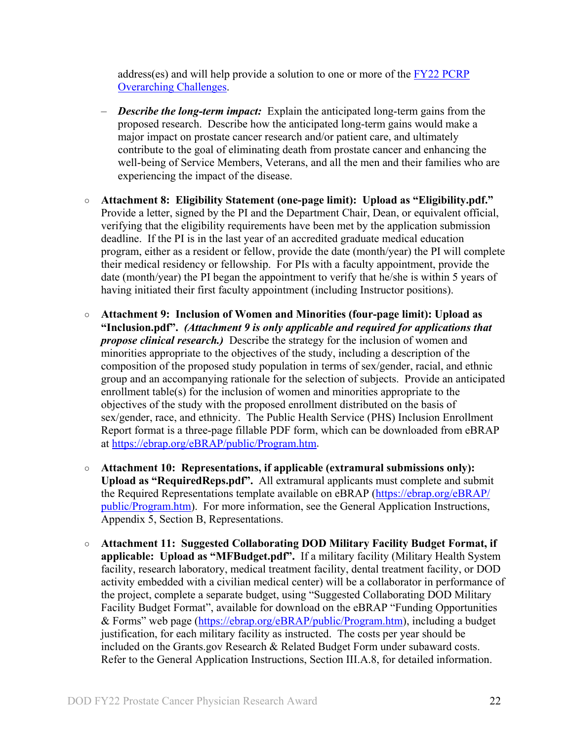address(es) and will help provide a solution to one or more of the [FY22 PCRP](#page-2-3)  [Overarching Challenges.](#page-2-3)

- *Describe the long-term impact:* Explain the anticipated long-term gains from the proposed research. Describe how the anticipated long-term gains would make a major impact on prostate cancer research and/or patient care, and ultimately contribute to the goal of eliminating death from prostate cancer and enhancing the well-being of Service Members, Veterans, and all the men and their families who are experiencing the impact of the disease.
- **Attachment 8: Eligibility Statement (one-page limit): Upload as "Eligibility.pdf."** Provide a letter, signed by the PI and the Department Chair, Dean, or equivalent official, verifying that the eligibility requirements have been met by the application submission deadline. If the PI is in the last year of an accredited graduate medical education program, either as a resident or fellow, provide the date (month/year) the PI will complete their medical residency or fellowship. For PIs with a faculty appointment, provide the date (month/year) the PI began the appointment to verify that he/she is within 5 years of having initiated their first faculty appointment (including Instructor positions).
- <span id="page-21-0"></span>○ **Attachment 9: Inclusion of Women and Minorities (four-page limit): Upload as "Inclusion.pdf".** *(Attachment 9 is only applicable and required for applications that propose clinical research.)* Describe the strategy for the inclusion of women and minorities appropriate to the objectives of the study, including a description of the composition of the proposed study population in terms of sex/gender, racial, and ethnic group and an accompanying rationale for the selection of subjects. Provide an anticipated enrollment table(s) for the inclusion of women and minorities appropriate to the objectives of the study with the proposed enrollment distributed on the basis of sex/gender, race, and ethnicity. The Public Health Service (PHS) Inclusion Enrollment Report format is a three-page fillable PDF form, which can be downloaded from eBRAP at [https://ebrap.org/eBRAP/public/Program.htm.](https://ebrap.org/eBRAP/public/Program.htm)
- **Attachment 10: Representations, if applicable (extramural submissions only): Upload as "RequiredReps.pdf".** All extramural applicants must complete and submit the Required Representations template available on eBRAP [\(https://ebrap.org/eBRAP/](https://ebrap.org/eBRAP/public/Program.htm) [public/Program.htm\)](https://ebrap.org/eBRAP/public/Program.htm). For more information, see the General Application Instructions, Appendix 5, Section B, Representations.
- <span id="page-21-1"></span>○ **Attachment 11: Suggested Collaborating DOD Military Facility Budget Format, if applicable: Upload as "MFBudget.pdf".** If a military facility (Military Health System facility, research laboratory, medical treatment facility, dental treatment facility, or DOD activity embedded with a civilian medical center) will be a collaborator in performance of the project, complete a separate budget, using "Suggested Collaborating DOD Military Facility Budget Format", available for download on the eBRAP "Funding Opportunities & Forms" web page [\(https://ebrap.org/eBRAP/public/Program.htm\)](https://ebrap.org/eBRAP/public/Program.htm), including a budget justification, for each military facility as instructed. The costs per year should be included on the Grants.gov Research & Related Budget Form under subaward costs. Refer to the General Application Instructions, Section III.A.8, for detailed information.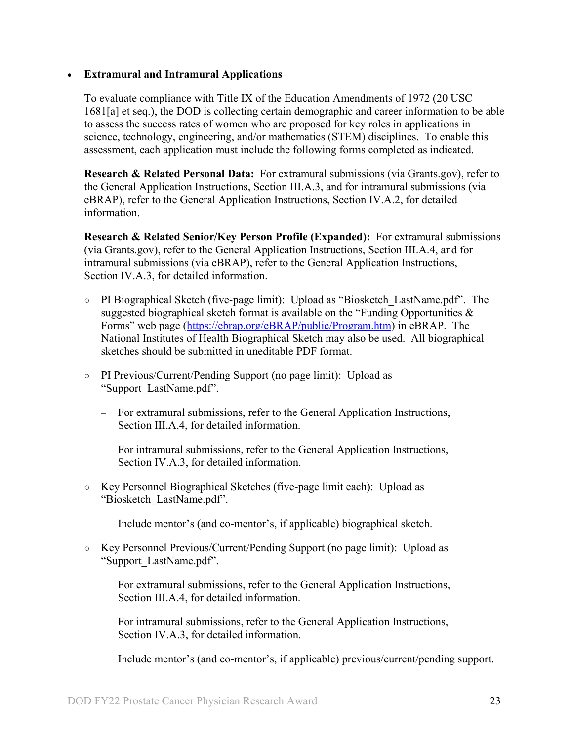#### • **Extramural and Intramural Applications**

To evaluate compliance with Title IX of the Education Amendments of 1972 (20 USC 1681[a] et seq.), the DOD is collecting certain demographic and career information to be able to assess the success rates of women who are proposed for key roles in applications in science, technology, engineering, and/or mathematics (STEM) disciplines. To enable this assessment, each application must include the following forms completed as indicated.

<span id="page-22-0"></span>**Research & Related Personal Data:** For extramural submissions (via Grants.gov), refer to the General Application Instructions, Section III.A.3, and for intramural submissions (via eBRAP), refer to the General Application Instructions, Section IV.A.2, for detailed information.

<span id="page-22-1"></span>**Research & Related Senior/Key Person Profile (Expanded):** For extramural submissions (via Grants.gov), refer to the General Application Instructions, Section III.A.4, and for intramural submissions (via eBRAP), refer to the General Application Instructions, Section IV.A.3, for detailed information.

- PI Biographical Sketch (five-page limit): Upload as "Biosketch\_LastName.pdf". The suggested biographical sketch format is available on the "Funding Opportunities  $\&$ Forms" web page [\(https://ebrap.org/eBRAP/public/Program.htm\)](https://ebrap.org/eBRAP/public/Program.htm) in eBRAP. The National Institutes of Health Biographical Sketch may also be used. All biographical sketches should be submitted in uneditable PDF format.
- PI Previous/Current/Pending Support (no page limit): Upload as "Support\_LastName.pdf".
	- For extramural submissions, refer to the General Application Instructions, Section III.A.4, for detailed information.
	- For intramural submissions, refer to the General Application Instructions, Section IV.A.3, for detailed information.
- Key Personnel Biographical Sketches (five-page limit each): Upload as "Biosketch\_LastName.pdf".
	- Include mentor's (and co-mentor's, if applicable) biographical sketch.
- Key Personnel Previous/Current/Pending Support (no page limit): Upload as "Support\_LastName.pdf".
	- For extramural submissions, refer to the General Application Instructions, Section III.A.4, for detailed information.
	- For intramural submissions, refer to the General Application Instructions, Section IV.A.3, for detailed information.
	- Include mentor's (and co-mentor's, if applicable) previous/current/pending support.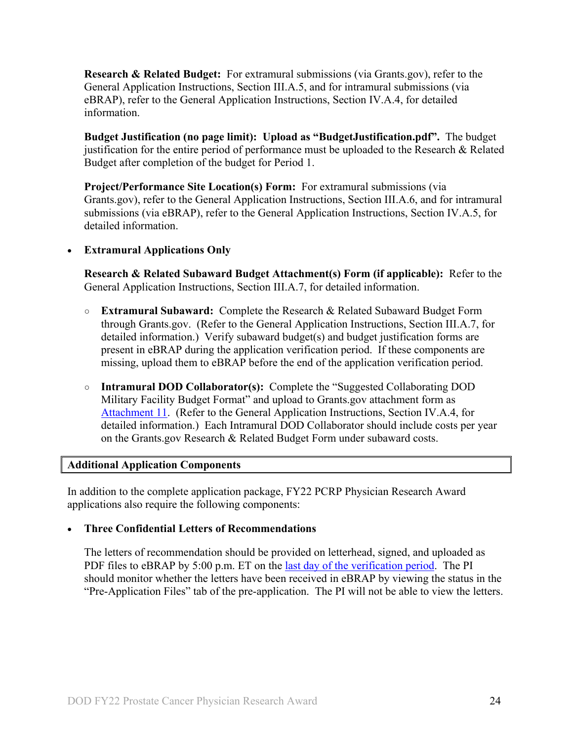<span id="page-23-0"></span>**Research & Related Budget:** For extramural submissions (via Grants.gov), refer to the General Application Instructions, Section III.A.5, and for intramural submissions (via eBRAP), refer to the General Application Instructions, Section IV.A.4, for detailed information.

**Budget Justification (no page limit): Upload as "BudgetJustification.pdf".** The budget justification for the entire period of performance must be uploaded to the Research & Related Budget after completion of the budget for Period 1.

<span id="page-23-1"></span>**Project/Performance Site Location(s) Form:** For extramural submissions (via Grants.gov), refer to the General Application Instructions, Section III.A.6, and for intramural submissions (via eBRAP), refer to the General Application Instructions, Section IV.A.5, for detailed information.

#### • **Extramural Applications Only**

<span id="page-23-2"></span>**Research & Related Subaward Budget Attachment(s) Form (if applicable):** Refer to the General Application Instructions, Section III.A.7, for detailed information.

- **Extramural Subaward:** Complete the Research & Related Subaward Budget Form through Grants.gov. (Refer to the General Application Instructions, Section III.A.7, for detailed information.) Verify subaward budget(s) and budget justification forms are present in eBRAP during the application verification period. If these components are missing, upload them to eBRAP before the end of the application verification period.
- **Intramural DOD Collaborator(s):** Complete the "Suggested Collaborating DOD Military Facility Budget Format" and upload to Grants.gov attachment form as [Attachment 11.](#page-21-1) (Refer to the General Application Instructions, Section IV.A.4, for detailed information.) Each Intramural DOD Collaborator should include costs per year on the Grants.gov Research & Related Budget Form under subaward costs.

#### <span id="page-23-3"></span>**Additional Application Components**

In addition to the complete application package, FY22 PCRP Physician Research Award applications also require the following components:

#### • **Three Confidential Letters of Recommendations**

The letters of recommendation should be provided on letterhead, signed, and uploaded as PDF files to eBRAP by 5:00 p.m. ET on the [last day of the verification period.](#page-0-1) The PI should monitor whether the letters have been received in eBRAP by viewing the status in the "Pre-Application Files" tab of the pre-application. The PI will not be able to view the letters.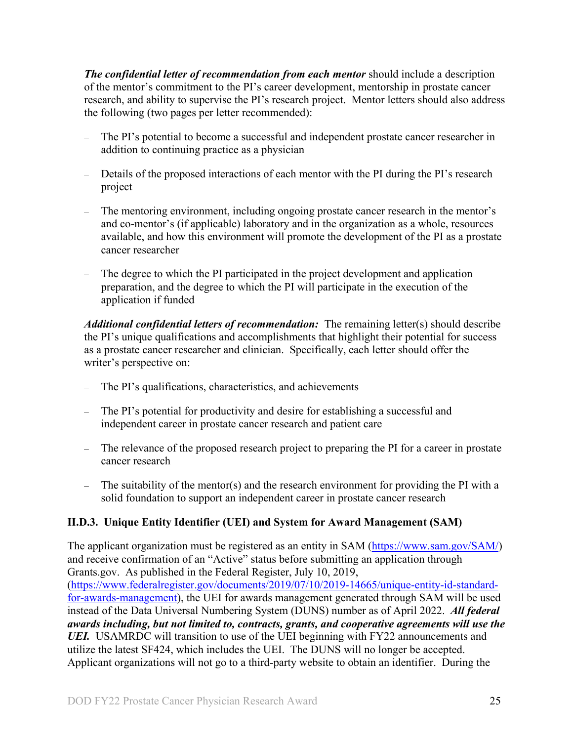*The confidential letter of recommendation from each mentor* should include a description of the mentor's commitment to the PI's career development, mentorship in prostate cancer research, and ability to supervise the PI's research project. Mentor letters should also address the following (two pages per letter recommended):

- The PI's potential to become a successful and independent prostate cancer researcher in addition to continuing practice as a physician
- Details of the proposed interactions of each mentor with the PI during the PI's research project
- The mentoring environment, including ongoing prostate cancer research in the mentor's and co-mentor's (if applicable) laboratory and in the organization as a whole, resources available, and how this environment will promote the development of the PI as a prostate cancer researcher
- The degree to which the PI participated in the project development and application preparation, and the degree to which the PI will participate in the execution of the application if funded

*Additional confidential letters of recommendation:* The remaining letter(s) should describe the PI's unique qualifications and accomplishments that highlight their potential for success as a prostate cancer researcher and clinician. Specifically, each letter should offer the writer's perspective on:

- The PI's qualifications, characteristics, and achievements
- The PI's potential for productivity and desire for establishing a successful and independent career in prostate cancer research and patient care
- The relevance of the proposed research project to preparing the PI for a career in prostate cancer research
- The suitability of the mentor(s) and the research environment for providing the PI with a solid foundation to support an independent career in prostate cancer research

## <span id="page-24-0"></span>**II.D.3. Unique Entity Identifier (UEI) and System for Award Management (SAM)**

The applicant organization must be registered as an entity in SAM [\(https://www.sam.gov/SAM/\)](https://www.sam.gov/SAM/) and receive confirmation of an "Active" status before submitting an application through Grants.gov. As published in the Federal Register, July 10, 2019, [\(https://www.federalregister.gov/documents/2019/07/10/2019-14665/unique-entity-id-standard](https://www.federalregister.gov/documents/2019/07/10/2019-14665/unique-entity-id-standard-for-awards-management)[for-awards-management\)](https://www.federalregister.gov/documents/2019/07/10/2019-14665/unique-entity-id-standard-for-awards-management), the UEI for awards management generated through SAM will be used instead of the Data Universal Numbering System (DUNS) number as of April 2022. *All federal awards including, but not limited to, contracts, grants, and cooperative agreements will use the*  UEI. USAMRDC will transition to use of the UEI beginning with FY22 announcements and utilize the latest SF424, which includes the UEI. The DUNS will no longer be accepted. Applicant organizations will not go to a third-party website to obtain an identifier. During the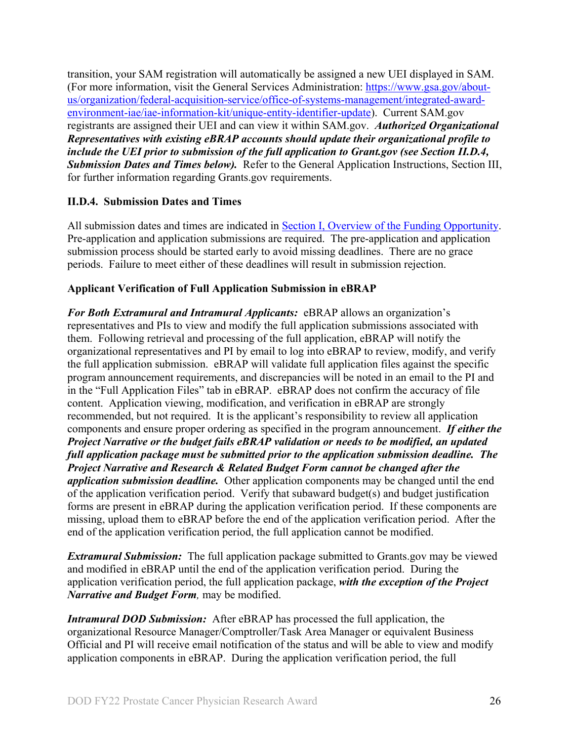transition, your SAM registration will automatically be assigned a new UEI displayed in SAM. (For more information, visit the General Services Administration: [https://www.gsa.gov/about](https://www.gsa.gov/about-us/organization/federal-acquisition-service/office-of-systems-management/integrated-award-environment-iae/iae-information-kit/unique-entity-identifier-update)[us/organization/federal-acquisition-service/office-of-systems-management/integrated-award](https://www.gsa.gov/about-us/organization/federal-acquisition-service/office-of-systems-management/integrated-award-environment-iae/iae-information-kit/unique-entity-identifier-update)[environment-iae/iae-information-kit/unique-entity-identifier-update\)](https://www.gsa.gov/about-us/organization/federal-acquisition-service/office-of-systems-management/integrated-award-environment-iae/iae-information-kit/unique-entity-identifier-update). Current SAM.gov registrants are assigned their UEI and can view it within SAM.gov. *Authorized Organizational Representatives with existing eBRAP accounts should update their organizational profile to include the UEI prior to submission of the full application to Grant.gov (see Section II.D.4, Submission Dates and Times below).* Refer to the General Application Instructions, Section III, for further information regarding Grants.gov requirements.

#### <span id="page-25-0"></span>**II.D.4. Submission Dates and Times**

All submission dates and times are indicated in **Section I**, Overview of the Funding Opportunity. Pre-application and application submissions are required. The pre-application and application submission process should be started early to avoid missing deadlines. There are no grace periods. Failure to meet either of these deadlines will result in submission rejection.

#### <span id="page-25-1"></span>**Applicant Verification of Full Application Submission in eBRAP**

*For Both Extramural and Intramural Applicants:* eBRAP allows an organization's representatives and PIs to view and modify the full application submissions associated with them. Following retrieval and processing of the full application, eBRAP will notify the organizational representatives and PI by email to log into eBRAP to review, modify, and verify the full application submission. eBRAP will validate full application files against the specific program announcement requirements, and discrepancies will be noted in an email to the PI and in the "Full Application Files" tab in eBRAP. eBRAP does not confirm the accuracy of file content. Application viewing, modification, and verification in eBRAP are strongly recommended, but not required. It is the applicant's responsibility to review all application components and ensure proper ordering as specified in the program announcement. *If either the Project Narrative or the budget fails eBRAP validation or needs to be modified, an updated full application package must be submitted prior to the application submission deadline. The Project Narrative and Research & Related Budget Form cannot be changed after the application submission deadline.* Other application components may be changed until the end of the [application verification period.](#page-0-0) Verify that subaward budget(s) and budget justification forms are present in eBRAP during the application verification period. If these components are missing, upload them to eBRAP before the end of the application verification period. After the end of the application verification period, the full application cannot be modified.

*Extramural Submission:* The full application package submitted to Grants.gov may be viewed and modified in eBRAP until the end of the application verification period. During the application verification period, the full application package, *with the exception of the Project Narrative and Budget Form,* may be modified.

*Intramural DOD Submission:* After eBRAP has processed the full application, the organizational Resource Manager/Comptroller/Task Area Manager or equivalent Business Official and PI will receive email notification of the status and will be able to view and modify application components in eBRAP. During the application verification period, the full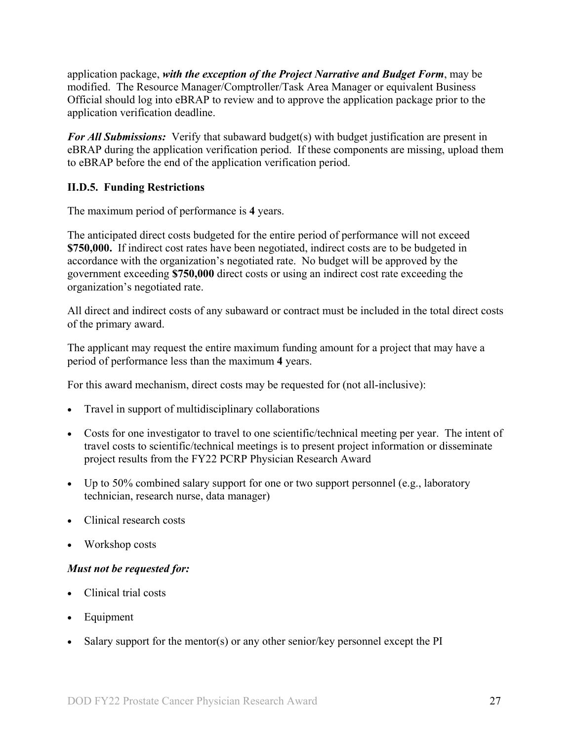application package, *with the exception of the Project Narrative and Budget Form*, may be modified. The Resource Manager/Comptroller/Task Area Manager or equivalent Business Official should log into eBRAP to review and to approve the application package prior to the application verification deadline.

*For All Submissions:* Verify that subaward budget(s) with budget justification are present in eBRAP during the application verification period. If these components are missing, upload them to eBRAP before the end of the application verification period.

### <span id="page-26-0"></span>**II.D.5. Funding Restrictions**

The maximum period of performance is **4** years.

The anticipated direct costs budgeted for the entire period of performance will not exceed **\$750,000.** If indirect cost rates have been negotiated, indirect costs are to be budgeted in accordance with the organization's negotiated rate. No budget will be approved by the government exceeding **\$750,000** direct costs or using an indirect cost rate exceeding the organization's negotiated rate.

All direct and indirect costs of any subaward or contract must be included in the total direct costs of the primary award.

The applicant may request the entire maximum funding amount for a project that may have a period of performance less than the maximum **4** years.

For this award mechanism, direct costs may be requested for (not all-inclusive):

- Travel in support of multidisciplinary collaborations
- Costs for one investigator to travel to one scientific/technical meeting per year. The intent of travel costs to scientific/technical meetings is to present project information or disseminate project results from the FY22 PCRP Physician Research Award
- Up to 50% combined salary support for one or two support personnel (e.g., laboratory technician, research nurse, data manager)
- Clinical research costs
- Workshop costs

#### *Must not be requested for:*

- Clinical trial costs
- **Equipment**
- Salary support for the mentor(s) or any other senior/key personnel except the  $PI$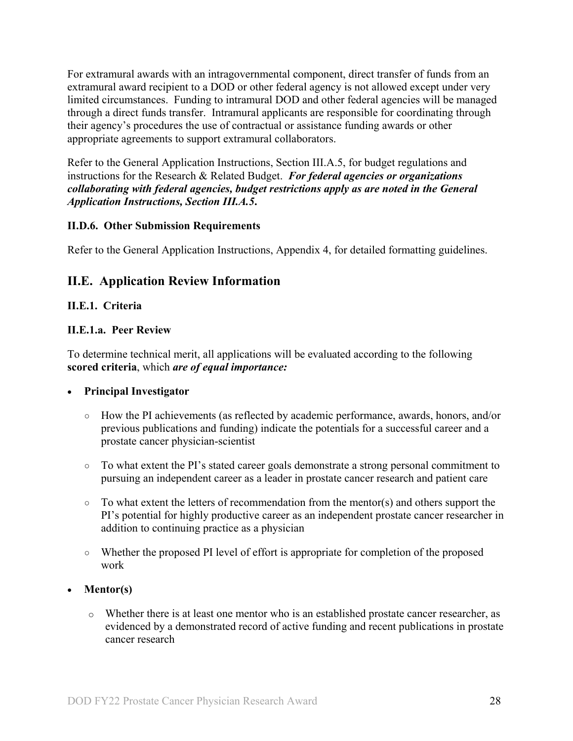For extramural awards with an intragovernmental component, direct transfer of funds from an extramural award recipient to a DOD or other federal agency is not allowed except under very limited circumstances. Funding to intramural DOD and other federal agencies will be managed through a direct funds transfer. Intramural applicants are responsible for coordinating through their agency's procedures the use of contractual or assistance funding awards or other appropriate agreements to support extramural collaborators.

Refer to the General Application Instructions, Section III.A.5, for budget regulations and instructions for the Research & Related Budget. *For federal agencies or organizations collaborating with federal agencies, budget restrictions apply as are noted in the General Application Instructions, Section III.A.5***.**

#### <span id="page-27-0"></span>**II.D.6. Other Submission Requirements**

Refer to the General Application Instructions, Appendix 4, for detailed formatting guidelines.

## <span id="page-27-1"></span>**II.E. Application Review Information**

#### <span id="page-27-2"></span>**II.E.1. Criteria**

#### **II.E.1.a. Peer Review**

To determine technical merit, all applications will be evaluated according to the following **scored criteria**, which *are of equal importance:*

#### • **Principal Investigator**

- How the PI achievements (as reflected by academic performance, awards, honors, and/or previous publications and funding) indicate the potentials for a successful career and a prostate cancer physician-scientist
- To what extent the PI's stated career goals demonstrate a strong personal commitment to pursuing an independent career as a leader in prostate cancer research and patient care
- $\circ$  To what extent the letters of recommendation from the mentor(s) and others support the PI's potential for highly productive career as an independent prostate cancer researcher in addition to continuing practice as a physician
- Whether the proposed PI level of effort is appropriate for completion of the proposed work
- **Mentor(s)**
	- o Whether there is at least one mentor who is an established prostate cancer researcher, as evidenced by a demonstrated record of active funding and recent publications in prostate cancer research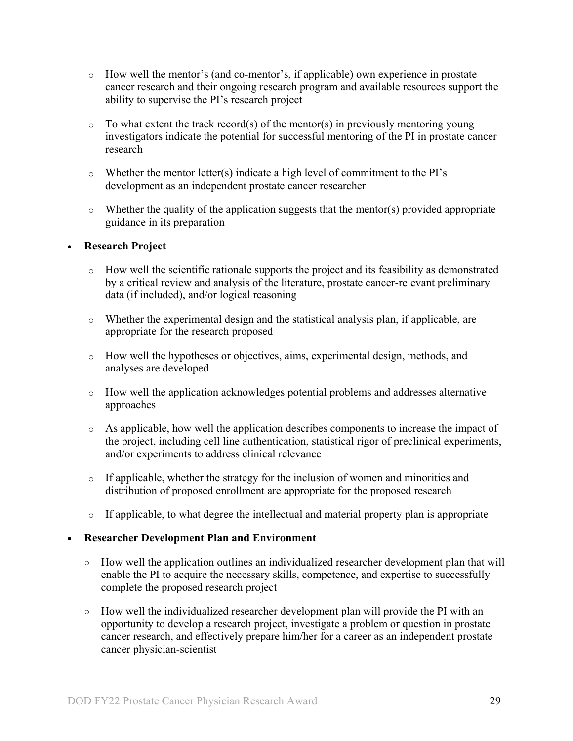- o How well the mentor's (and co-mentor's, if applicable) own experience in prostate cancer research and their ongoing research program and available resources support the ability to supervise the PI's research project
- $\circ$  To what extent the track record(s) of the mentor(s) in previously mentoring young investigators indicate the potential for successful mentoring of the PI in prostate cancer research
- o Whether the mentor letter(s) indicate a high level of commitment to the PI's development as an independent prostate cancer researcher
- o Whether the quality of the application suggests that the mentor(s) provided appropriate guidance in its preparation

#### • **Research Project**

- o How well the scientific rationale supports the project and its feasibility as demonstrated by a critical review and analysis of the literature, prostate cancer-relevant preliminary data (if included), and/or logical reasoning
- o Whether the experimental design and the statistical analysis plan, if applicable, are appropriate for the research proposed
- o How well the hypotheses or objectives, aims, experimental design, methods, and analyses are developed
- o How well the application acknowledges potential problems and addresses alternative approaches
- o As applicable, how well the application describes components to increase the impact of the project, including cell line authentication, statistical rigor of preclinical experiments, and/or experiments to address clinical relevance
- o If applicable, whether the strategy for the inclusion of women and minorities and distribution of proposed enrollment are appropriate for the proposed research
- o If applicable, to what degree the intellectual and material property plan is appropriate

#### • **Researcher Development Plan and Environment**

- How well the application outlines an individualized researcher development plan that will enable the PI to acquire the necessary skills, competence, and expertise to successfully complete the proposed research project
- How well the individualized researcher development plan will provide the PI with an opportunity to develop a research project, investigate a problem or question in prostate cancer research, and effectively prepare him/her for a career as an independent prostate cancer physician-scientist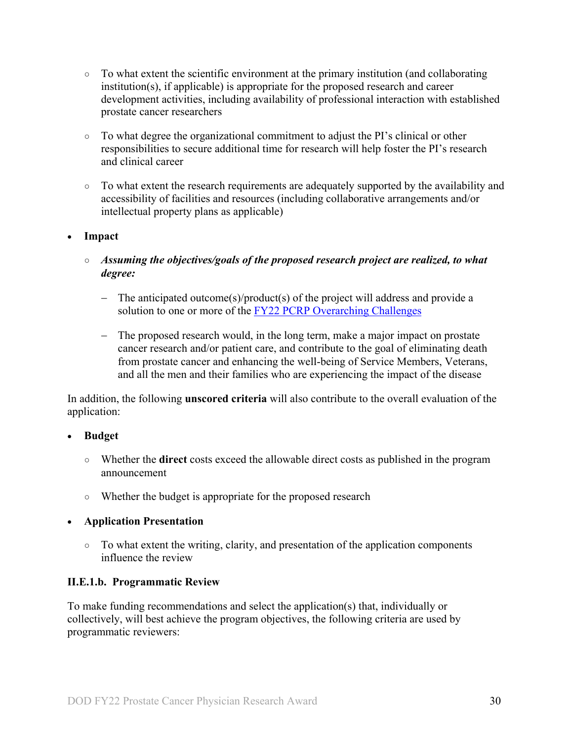- $\circ$  To what extent the scientific environment at the primary institution (and collaborating institution(s), if applicable) is appropriate for the proposed research and career development activities, including availability of professional interaction with established prostate cancer researchers
- To what degree the organizational commitment to adjust the PI's clinical or other responsibilities to secure additional time for research will help foster the PI's research and clinical career
- To what extent the research requirements are adequately supported by the availability and accessibility of facilities and resources (including collaborative arrangements and/or intellectual property plans as applicable)

### • **Impact**

- *Assuming the objectives/goals of the proposed research project are realized, to what degree:*
	- − The anticipated outcome(s)/product(s) of the project will address and provide a solution to one or more of the [FY22 PCRP Overarching Challenges](#page-2-3)
	- − The proposed research would, in the long term, make a major impact on prostate cancer research and/or patient care, and contribute to the goal of eliminating death from prostate cancer and enhancing the well-being of Service Members, Veterans, and all the men and their families who are experiencing the impact of the disease

In addition, the following **unscored criteria** will also contribute to the overall evaluation of the application:

#### • **Budget**

- Whether the **direct** costs exceed the allowable direct costs as published in the program announcement
- Whether the budget is appropriate for the proposed research

## • **Application Presentation**

○ To what extent the writing, clarity, and presentation of the application components influence the review

#### <span id="page-29-0"></span>**II.E.1.b. Programmatic Review**

To make funding recommendations and select the application(s) that, individually or collectively, will best achieve the program objectives, the following criteria are used by programmatic reviewers: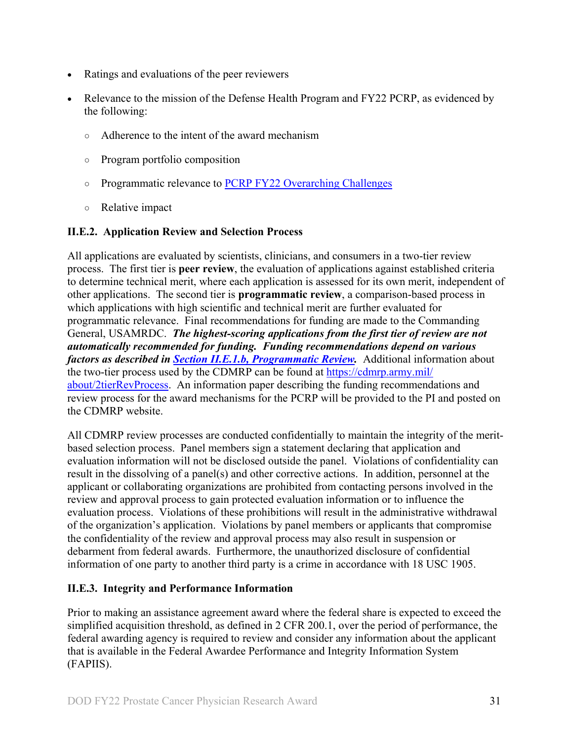- Ratings and evaluations of the peer reviewers
- Relevance to the mission of the Defense Health Program and FY22 PCRP, as evidenced by the following:
	- Adherence to the intent of the award mechanism
	- Program portfolio composition
	- Programmatic relevance to [PCRP FY22 Overarching Challenges](#page-2-3)
	- Relative impact

## <span id="page-30-0"></span>**II.E.2. Application Review and Selection Process**

All applications are evaluated by scientists, clinicians, and consumers in a two-tier review process. The first tier is **peer review**, the evaluation of applications against established criteria to determine technical merit, where each application is assessed for its own merit, independent of other applications. The second tier is **programmatic review**, a comparison-based process in which applications with high scientific and technical merit are further evaluated for programmatic relevance. Final recommendations for funding are made to the Commanding General, USAMRDC. *The highest-scoring applications from the first tier of review are not automatically recommended for funding. Funding recommendations depend on various factors as described in Section [II.E.1.b, Programmatic Review.](#page-29-0)* Additional information about the two-tier process used by the CDMRP can be found at [https://cdmrp.army.mil/](https://cdmrp.army.mil/about/2tierRevProcess) [about/2tierRevProcess.](https://cdmrp.army.mil/about/2tierRevProcess) An information paper describing the funding recommendations and review process for the award mechanisms for the PCRP will be provided to the PI and posted on the CDMRP website.

All CDMRP review processes are conducted confidentially to maintain the integrity of the meritbased selection process. Panel members sign a statement declaring that application and evaluation information will not be disclosed outside the panel. Violations of confidentiality can result in the dissolving of a panel(s) and other corrective actions. In addition, personnel at the applicant or collaborating organizations are prohibited from contacting persons involved in the review and approval process to gain protected evaluation information or to influence the evaluation process. Violations of these prohibitions will result in the administrative withdrawal of the organization's application. Violations by panel members or applicants that compromise the confidentiality of the review and approval process may also result in suspension or debarment from federal awards. Furthermore, the unauthorized disclosure of confidential information of one party to another third party is a crime in accordance with 18 USC 1905.

#### <span id="page-30-1"></span>**II.E.3. Integrity and Performance Information**

Prior to making an assistance agreement award where the federal share is expected to exceed the simplified acquisition threshold, as defined in 2 CFR 200.1, over the period of performance, the federal awarding agency is required to review and consider any information about the applicant that is available in the Federal Awardee Performance and Integrity Information System (FAPIIS).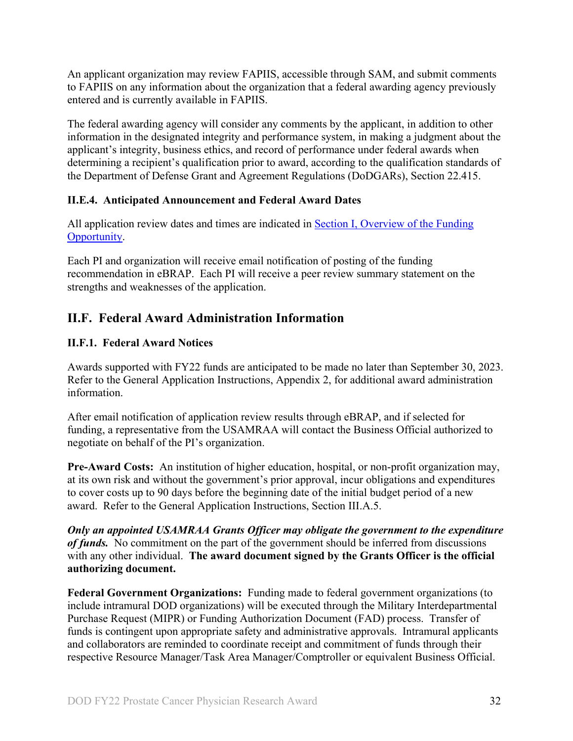An applicant organization may review FAPIIS, accessible through SAM, and submit comments to FAPIIS on any information about the organization that a federal awarding agency previously entered and is currently available in FAPIIS.

The federal awarding agency will consider any comments by the applicant, in addition to other information in the designated integrity and performance system, in making a judgment about the applicant's integrity, business ethics, and record of performance under federal awards when determining a recipient's qualification prior to award, according to the qualification standards of the Department of Defense Grant and Agreement Regulations (DoDGARs), Section 22.415.

## <span id="page-31-0"></span>**II.E.4. Anticipated Announcement and Federal Award Dates**

All application review dates and times are indicated in [Section I, Overview of the Funding](#page-0-2)  [Opportunity.](#page-0-2)

Each PI and organization will receive email notification of posting of the funding recommendation in eBRAP. Each PI will receive a peer review summary statement on the strengths and weaknesses of the application.

## <span id="page-31-1"></span>**II.F. Federal Award Administration Information**

## <span id="page-31-2"></span>**II.F.1. Federal Award Notices**

Awards supported with FY22 funds are anticipated to be made no later than September 30, 2023. Refer to the General Application Instructions, Appendix 2, for additional award administration information.

After email notification of application review results through eBRAP, and if selected for funding, a representative from the USAMRAA will contact the Business Official authorized to negotiate on behalf of the PI's organization.

**Pre-Award Costs:** An institution of higher education, hospital, or non-profit organization may, at its own risk and without the government's prior approval, incur obligations and expenditures to cover costs up to 90 days before the beginning date of the initial budget period of a new award. Refer to the General Application Instructions, Section III.A.5.

*Only an appointed USAMRAA Grants Officer may obligate the government to the expenditure of funds.* No commitment on the part of the government should be inferred from discussions with any other individual. **The award document signed by the Grants Officer is the official authorizing document.**

**Federal Government Organizations:**Funding made to federal government organizations (to include intramural DOD organizations) will be executed through the Military Interdepartmental Purchase Request (MIPR) or Funding Authorization Document (FAD) process. Transfer of funds is contingent upon appropriate safety and administrative approvals. Intramural applicants and collaborators are reminded to coordinate receipt and commitment of funds through their respective Resource Manager/Task Area Manager/Comptroller or equivalent Business Official.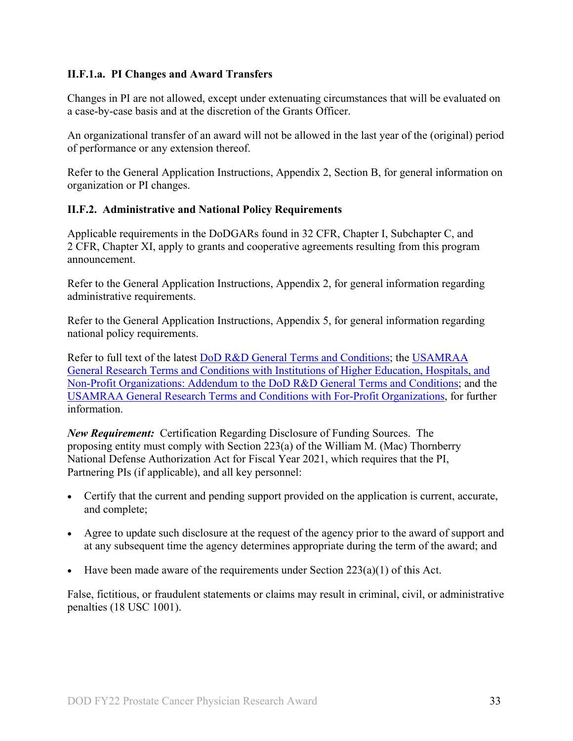### **II.F.1.a. PI Changes and Award Transfers**

Changes in PI are not allowed, except under extenuating circumstances that will be evaluated on a case-by-case basis and at the discretion of the Grants Officer.

An organizational transfer of an award will not be allowed in the last year of the (original) period of performance or any extension thereof.

Refer to the General Application Instructions, Appendix 2, Section B, for general information on organization or PI changes.

### <span id="page-32-0"></span>**II.F.2. Administrative and National Policy Requirements**

Applicable requirements in the DoDGARs found in 32 CFR, Chapter I, Subchapter C, and 2 CFR, Chapter XI, apply to grants and cooperative agreements resulting from this program announcement.

Refer to the General Application Instructions, Appendix 2, for general information regarding administrative requirements.

Refer to the General Application Instructions, Appendix 5, for general information regarding national policy requirements.

Refer to full text of the latest DoD [R&D General Terms and Conditions;](https://www.onr.navy.mil/work-with-us/manage-your-award/manage-grant-award/grants-terms-conditions) the [USAMRAA](https://www.usamraa.army.mil/Pages/Resources.aspx)  [General Research Terms and Conditions with Institutions of Higher Education, Hospitals, and](https://www.usamraa.army.mil/Pages/Resources.aspx)  [Non-Profit Organizations: Addendum to the DoD](https://www.usamraa.army.mil/Pages/Resources.aspx) R&D General Terms and Conditions; and the [USAMRAA General Research Terms and Conditions with For-Profit Organizations,](https://www.usamraa.army.mil/Pages/Resources.aspx) for further information.

*New Requirement:* Certification Regarding Disclosure of Funding Sources. The proposing entity must comply with Section 223(a) of the William M. (Mac) Thornberry National Defense Authorization Act for Fiscal Year 2021, which requires that the PI, Partnering PIs (if applicable), and all key personnel:

- Certify that the current and pending support provided on the application is current, accurate, and complete;
- Agree to update such disclosure at the request of the agency prior to the award of support and at any subsequent time the agency determines appropriate during the term of the award; and
- Have been made aware of the requirements under Section  $223(a)(1)$  of this Act.

False, fictitious, or fraudulent statements or claims may result in criminal, civil, or administrative penalties (18 USC 1001).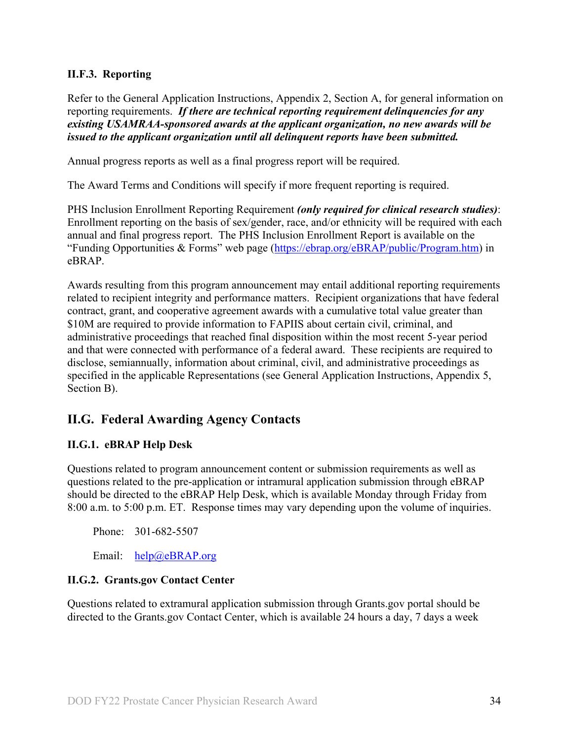### <span id="page-33-0"></span>**II.F.3. Reporting**

Refer to the General Application Instructions, Appendix 2, Section A, for general information on reporting requirements. *If there are technical reporting requirement delinquencies for any existing USAMRAA-sponsored awards at the applicant organization, no new awards will be issued to the applicant organization until all delinquent reports have been submitted.*

Annual progress reports as well as a final progress report will be required.

The Award Terms and Conditions will specify if more frequent reporting is required.

PHS Inclusion Enrollment Reporting Requirement *(only required for clinical research studies)*: Enrollment reporting on the basis of sex/gender, race, and/or ethnicity will be required with each annual and final progress report. The PHS Inclusion Enrollment Report is available on the "Funding Opportunities & Forms" web page [\(https://ebrap.org/eBRAP/public/Program.htm\)](https://ebrap.org/eBRAP/public/Program.htm) in eBRAP.

Awards resulting from this program announcement may entail additional reporting requirements related to recipient integrity and performance matters. Recipient organizations that have federal contract, grant, and cooperative agreement awards with a cumulative total value greater than \$10M are required to provide information to FAPIIS about certain civil, criminal, and administrative proceedings that reached final disposition within the most recent 5-year period and that were connected with performance of a federal award. These recipients are required to disclose, semiannually, information about criminal, civil, and administrative proceedings as specified in the applicable Representations (see General Application Instructions, Appendix 5, Section B).

## <span id="page-33-1"></span>**II.G. Federal Awarding Agency Contacts**

#### <span id="page-33-2"></span>**II.G.1. eBRAP Help Desk**

Questions related to program announcement content or submission requirements as well as questions related to the pre-application or intramural application submission through eBRAP should be directed to the eBRAP Help Desk, which is available Monday through Friday from 8:00 a.m. to 5:00 p.m. ET. Response times may vary depending upon the volume of inquiries.

Phone: 301-682-5507

Email: [help@eBRAP.org](mailto:help@eBRAP.org)

#### <span id="page-33-3"></span>**II.G.2. Grants.gov Contact Center**

Questions related to extramural application submission through Grants.gov portal should be directed to the Grants.gov Contact Center, which is available 24 hours a day, 7 days a week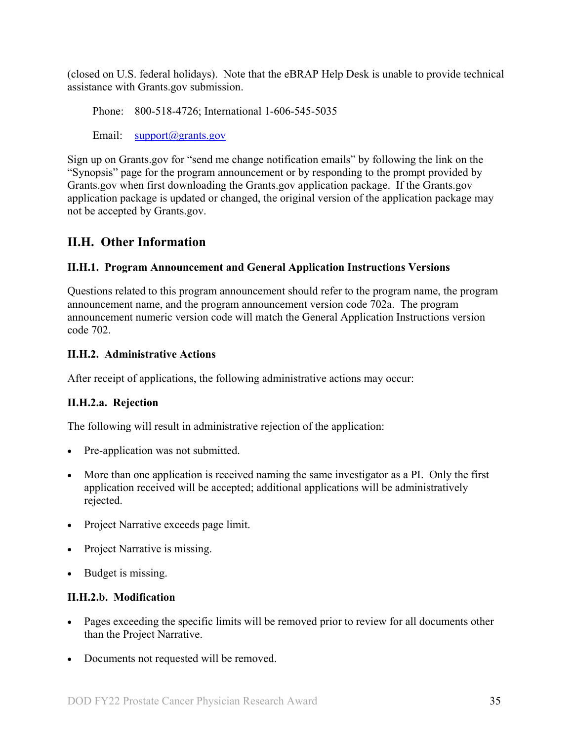(closed on U.S. federal holidays). Note that the eBRAP Help Desk is unable to provide technical assistance with Grants.gov submission.

Phone: 800-518-4726; International 1-606-545-5035

Email: [support@grants.gov](mailto:support@grants.gov)

Sign up on Grants.gov for "send me change notification emails" by following the link on the "Synopsis" page for the program announcement or by responding to the prompt provided by Grants.gov when first downloading the Grants.gov application package. If the Grants.gov application package is updated or changed, the original version of the application package may not be accepted by Grants.gov.

## <span id="page-34-0"></span>**II.H. Other Information**

### <span id="page-34-1"></span>**II.H.1. Program Announcement and General Application Instructions Versions**

Questions related to this program announcement should refer to the program name, the program announcement name, and the program announcement version code 702a. The program announcement numeric version code will match the General Application Instructions version code 702.

### <span id="page-34-2"></span>**II.H.2. Administrative Actions**

After receipt of applications, the following administrative actions may occur:

## **II.H.2.a. Rejection**

The following will result in administrative rejection of the application:

- Pre-application was not submitted.
- More than one application is received naming the same investigator as a PI. Only the first application received will be accepted; additional applications will be administratively rejected.
- Project Narrative exceeds page limit.
- Project Narrative is missing.
- Budget is missing.

#### **II.H.2.b. Modification**

- Pages exceeding the specific limits will be removed prior to review for all documents other than the Project Narrative.
- Documents not requested will be removed.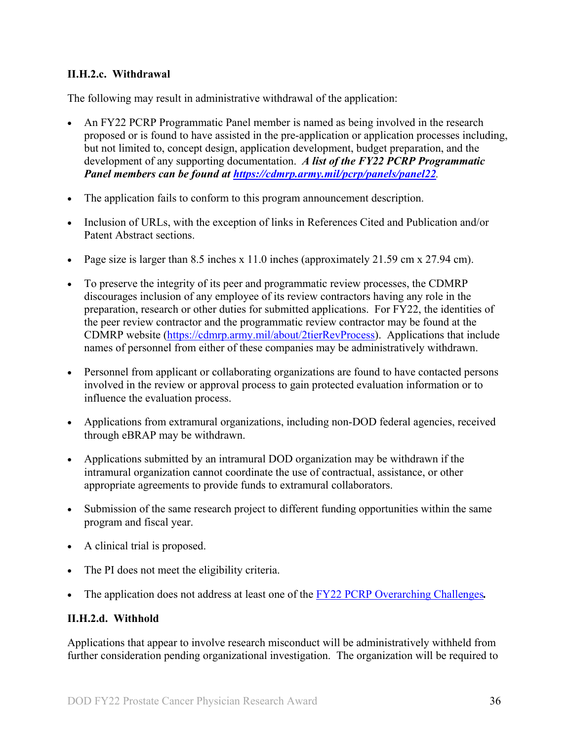#### <span id="page-35-0"></span>**II.H.2.c. Withdrawal**

The following may result in administrative withdrawal of the application:

- An FY22 PCRP Programmatic Panel member is named as being involved in the research proposed or is found to have assisted in the pre-application or application processes including, but not limited to, concept design, application development, budget preparation, and the development of any supporting documentation. *A list of the FY22 PCRP Programmatic Panel members can be found at<https://cdmrp.army.mil/pcrp/panels/panel22>.*
- The application fails to conform to this program announcement description.
- Inclusion of URLs, with the exception of links in References Cited and Publication and/or Patent Abstract sections.
- Page size is larger than 8.5 inches x 11.0 inches (approximately 21.59 cm x 27.94 cm).
- To preserve the integrity of its peer and programmatic review processes, the CDMRP discourages inclusion of any employee of its review contractors having any role in the preparation, research or other duties for submitted applications. For FY22, the identities of the peer review contractor and the programmatic review contractor may be found at the CDMRP website [\(https://cdmrp.army.mil/about/2tierRevProcess\)](https://cdmrp.army.mil/about/2tierRevProcess). Applications that include names of personnel from either of these companies may be administratively withdrawn.
- Personnel from applicant or collaborating organizations are found to have contacted persons involved in the review or approval process to gain protected evaluation information or to influence the evaluation process.
- Applications from extramural organizations, including non-DOD federal agencies, received through eBRAP may be withdrawn.
- Applications submitted by an intramural DOD organization may be withdrawn if the intramural organization cannot coordinate the use of contractual, assistance, or other appropriate agreements to provide funds to extramural collaborators.
- Submission of the same research project to different funding opportunities within the same program and fiscal year.
- A clinical trial is proposed.
- The PI does not meet the eligibility criteria.
- The application does not address at least one of the FY22 [PCRP Overarching Challenges](#page-2-3)*.*

#### **II.H.2.d. Withhold**

Applications that appear to involve research misconduct will be administratively withheld from further consideration pending organizational investigation. The organization will be required to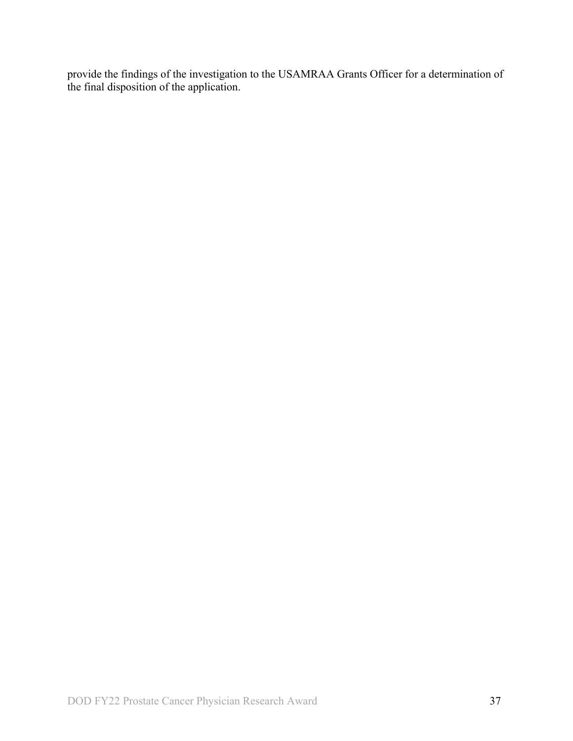provide the findings of the investigation to the USAMRAA Grants Officer for a determination of the final disposition of the application.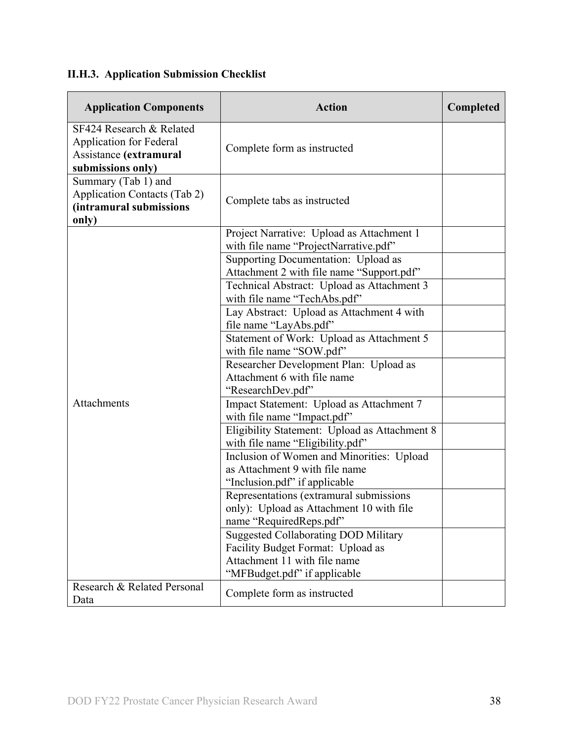# <span id="page-37-0"></span>**II.H.3. Application Submission Checklist**

| <b>Application Components</b>                                                                             | <b>Action</b>                                                                                                                                    | Completed |
|-----------------------------------------------------------------------------------------------------------|--------------------------------------------------------------------------------------------------------------------------------------------------|-----------|
| SF424 Research & Related<br><b>Application for Federal</b><br>Assistance (extramural<br>submissions only) | Complete form as instructed                                                                                                                      |           |
| Summary (Tab 1) and<br><b>Application Contacts (Tab 2)</b><br>(intramural submissions<br>only)            | Complete tabs as instructed                                                                                                                      |           |
|                                                                                                           | Project Narrative: Upload as Attachment 1<br>with file name "ProjectNarrative.pdf"                                                               |           |
|                                                                                                           | Supporting Documentation: Upload as<br>Attachment 2 with file name "Support.pdf"                                                                 |           |
|                                                                                                           | Technical Abstract: Upload as Attachment 3<br>with file name "TechAbs.pdf"                                                                       |           |
|                                                                                                           | Lay Abstract: Upload as Attachment 4 with<br>file name "LayAbs.pdf"                                                                              |           |
|                                                                                                           | Statement of Work: Upload as Attachment 5<br>with file name "SOW.pdf"                                                                            |           |
|                                                                                                           | Researcher Development Plan: Upload as<br>Attachment 6 with file name<br>"ResearchDev.pdf"                                                       |           |
| Attachments                                                                                               | Impact Statement: Upload as Attachment 7<br>with file name "Impact.pdf"                                                                          |           |
|                                                                                                           | Eligibility Statement: Upload as Attachment 8<br>with file name "Eligibility.pdf"                                                                |           |
|                                                                                                           | Inclusion of Women and Minorities: Upload<br>as Attachment 9 with file name<br>"Inclusion.pdf" if applicable                                     |           |
|                                                                                                           | Representations (extramural submissions)<br>only): Upload as Attachment 10 with file<br>name "RequiredReps.pdf"                                  |           |
|                                                                                                           | <b>Suggested Collaborating DOD Military</b><br>Facility Budget Format: Upload as<br>Attachment 11 with file name<br>"MFBudget.pdf" if applicable |           |
| Research & Related Personal<br>Data                                                                       | Complete form as instructed                                                                                                                      |           |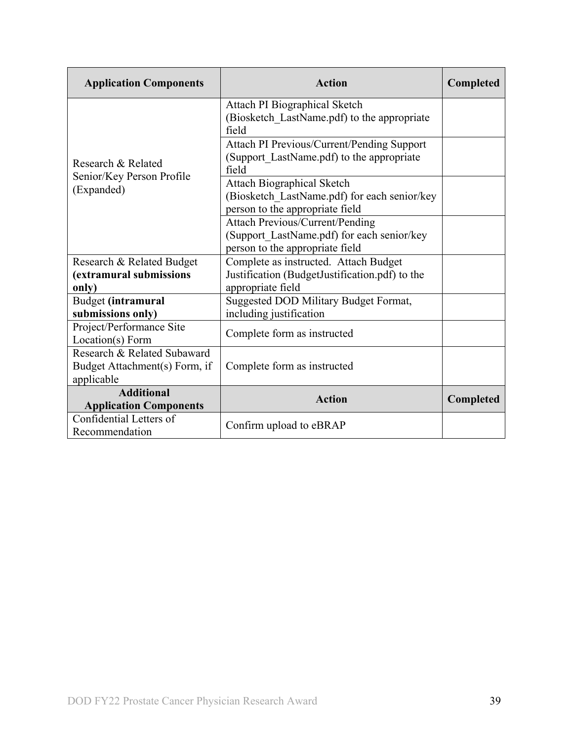| <b>Application Components</b> | <b>Action</b>                                        | Completed |
|-------------------------------|------------------------------------------------------|-----------|
|                               | Attach PI Biographical Sketch                        |           |
|                               | (Biosketch LastName.pdf) to the appropriate<br>field |           |
|                               | Attach PI Previous/Current/Pending Support           |           |
| Research & Related            | (Support LastName.pdf) to the appropriate            |           |
| Senior/Key Person Profile     | field                                                |           |
| (Expanded)                    | <b>Attach Biographical Sketch</b>                    |           |
|                               | (Biosketch LastName.pdf) for each senior/key         |           |
|                               | person to the appropriate field                      |           |
|                               | <b>Attach Previous/Current/Pending</b>               |           |
|                               | (Support LastName.pdf) for each senior/key           |           |
|                               | person to the appropriate field                      |           |
| Research & Related Budget     | Complete as instructed. Attach Budget                |           |
| (extramural submissions       | Justification (BudgetJustification.pdf) to the       |           |
| only)                         | appropriate field                                    |           |
| Budget (intramural            | Suggested DOD Military Budget Format,                |           |
| submissions only)             | including justification                              |           |
| Project/Performance Site      | Complete form as instructed                          |           |
| Location(s) Form              |                                                      |           |
| Research & Related Subaward   |                                                      |           |
| Budget Attachment(s) Form, if | Complete form as instructed                          |           |
| applicable                    |                                                      |           |
| <b>Additional</b>             | <b>Action</b>                                        | Completed |
| <b>Application Components</b> |                                                      |           |
| Confidential Letters of       | Confirm upload to eBRAP                              |           |
| Recommendation                |                                                      |           |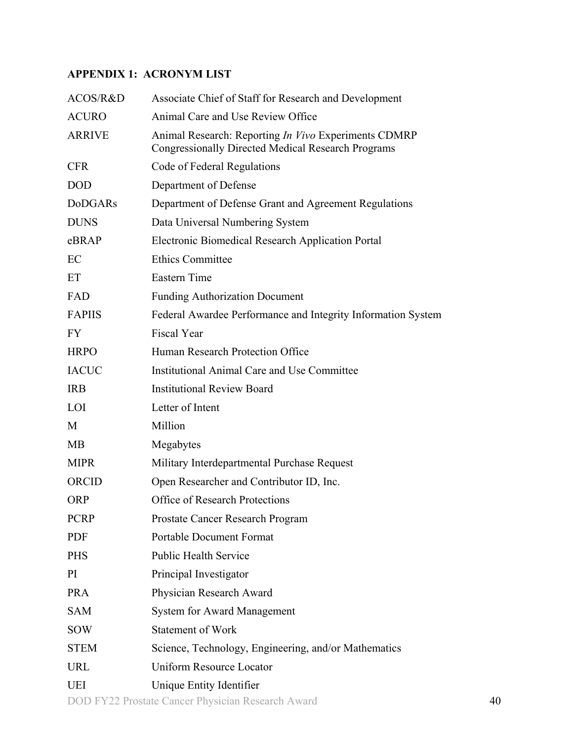## <span id="page-39-0"></span>**APPENDIX 1: ACRONYM LIST**

| ACOS/R&D       | Associate Chief of Staff for Research and Development                                                                    |    |
|----------------|--------------------------------------------------------------------------------------------------------------------------|----|
| <b>ACURO</b>   | Animal Care and Use Review Office                                                                                        |    |
| <b>ARRIVE</b>  | Animal Research: Reporting <i>In Vivo</i> Experiments CDMRP<br><b>Congressionally Directed Medical Research Programs</b> |    |
| <b>CFR</b>     | Code of Federal Regulations                                                                                              |    |
| <b>DOD</b>     | Department of Defense                                                                                                    |    |
| <b>DoDGARs</b> | Department of Defense Grant and Agreement Regulations                                                                    |    |
| <b>DUNS</b>    | Data Universal Numbering System                                                                                          |    |
| eBRAP          | Electronic Biomedical Research Application Portal                                                                        |    |
| EC             | <b>Ethics Committee</b>                                                                                                  |    |
| ET             | Eastern Time                                                                                                             |    |
| FAD            | <b>Funding Authorization Document</b>                                                                                    |    |
| <b>FAPIIS</b>  | Federal Awardee Performance and Integrity Information System                                                             |    |
| <b>FY</b>      | <b>Fiscal Year</b>                                                                                                       |    |
| <b>HRPO</b>    | Human Research Protection Office                                                                                         |    |
| <b>IACUC</b>   | Institutional Animal Care and Use Committee                                                                              |    |
| <b>IRB</b>     | <b>Institutional Review Board</b>                                                                                        |    |
| LOI            | Letter of Intent                                                                                                         |    |
| M              | Million                                                                                                                  |    |
| MB             | Megabytes                                                                                                                |    |
| <b>MIPR</b>    | Military Interdepartmental Purchase Request                                                                              |    |
| ORCID          | Open Researcher and Contributor ID, Inc.                                                                                 |    |
| <b>ORP</b>     | <b>Office of Research Protections</b>                                                                                    |    |
| <b>PCRP</b>    | Prostate Cancer Research Program                                                                                         |    |
| <b>PDF</b>     | <b>Portable Document Format</b>                                                                                          |    |
| <b>PHS</b>     | <b>Public Health Service</b>                                                                                             |    |
| PI             | Principal Investigator                                                                                                   |    |
| <b>PRA</b>     | Physician Research Award                                                                                                 |    |
| <b>SAM</b>     | <b>System for Award Management</b>                                                                                       |    |
| <b>SOW</b>     | <b>Statement of Work</b>                                                                                                 |    |
| <b>STEM</b>    | Science, Technology, Engineering, and/or Mathematics                                                                     |    |
| <b>URL</b>     | <b>Uniform Resource Locator</b>                                                                                          |    |
| <b>UEI</b>     | Unique Entity Identifier                                                                                                 |    |
|                | DOD FY22 Prostate Cancer Physician Research Award                                                                        | 40 |